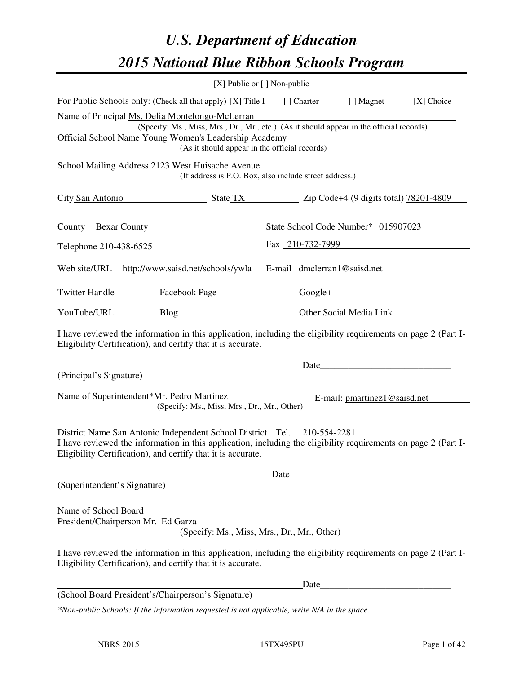# *U.S. Department of Education 2015 National Blue Ribbon Schools Program*

| [X] Public or $[$ ] Non-public                                                                                                                                                                                                                            |                                                                     |       |                                                                                                                      |  |  |  |  |
|-----------------------------------------------------------------------------------------------------------------------------------------------------------------------------------------------------------------------------------------------------------|---------------------------------------------------------------------|-------|----------------------------------------------------------------------------------------------------------------------|--|--|--|--|
| For Public Schools only: (Check all that apply) [X] Title I [] Charter [] Magnet<br>[X] Choice                                                                                                                                                            |                                                                     |       |                                                                                                                      |  |  |  |  |
| Name of Principal Ms. Delia Montelongo-McLerran<br>(Specify: Ms., Miss, Mrs., Dr., Mr., etc.) (As it should appear in the official records)<br>Official School Name Young Women's Leadership Academy<br>(As it should appear in the official records)     |                                                                     |       | <u> 1989 - Johann Barbara, martin amerikan basar dan basa dan basar dalam basa dalam basa dalam basa dalam basa </u> |  |  |  |  |
| School Mailing Address 2123 West Huisache Avenue<br>(If address is P.O. Box, also include street address.)                                                                                                                                                |                                                                     |       |                                                                                                                      |  |  |  |  |
| City San Antonio State TX State TX Zip Code+4 (9 digits total) 78201-4809                                                                                                                                                                                 |                                                                     |       |                                                                                                                      |  |  |  |  |
| County Bexar County State School Code Number* 015907023                                                                                                                                                                                                   |                                                                     |       |                                                                                                                      |  |  |  |  |
| Telephone 210-438-6525 Fax 210-732-7999                                                                                                                                                                                                                   |                                                                     |       |                                                                                                                      |  |  |  |  |
| Web site/URL http://www.saisd.net/schools/ywla E-mail dmclerran1@saisd.net                                                                                                                                                                                |                                                                     |       |                                                                                                                      |  |  |  |  |
| Twitter Handle ___________ Facebook Page ____________________ Google+ ___________                                                                                                                                                                         |                                                                     |       |                                                                                                                      |  |  |  |  |
| YouTube/URL Blog Blog Cher Social Media Link                                                                                                                                                                                                              |                                                                     |       |                                                                                                                      |  |  |  |  |
| I have reviewed the information in this application, including the eligibility requirements on page 2 (Part I-<br>Eligibility Certification), and certify that it is accurate.                                                                            |                                                                     |       |                                                                                                                      |  |  |  |  |
|                                                                                                                                                                                                                                                           |                                                                     |       | Date                                                                                                                 |  |  |  |  |
| (Principal's Signature)<br>Name of Superintendent*Mr. Pedro Martinez<br>(Specify: Ms., Miss, Mrs., Dr., Mr., Other)                                                                                                                                       | $\overline{\phantom{a}}$ . The contract of $\overline{\phantom{a}}$ |       | E-mail: pmartinez1@saisd.net                                                                                         |  |  |  |  |
| District Name San Antonio Independent School District Tel. 210-554-2281<br>I have reviewed the information in this application, including the eligibility requirements on page 2 (Part I-<br>Eligibility Certification), and certify that it is accurate. |                                                                     |       |                                                                                                                      |  |  |  |  |
|                                                                                                                                                                                                                                                           | Date                                                                |       |                                                                                                                      |  |  |  |  |
| (Superintendent's Signature)                                                                                                                                                                                                                              |                                                                     |       |                                                                                                                      |  |  |  |  |
| Name of School Board<br>President/Chairperson Mr. Ed Garza<br>(Specify: Ms., Miss, Mrs., Dr., Mr., Other)                                                                                                                                                 |                                                                     |       |                                                                                                                      |  |  |  |  |
| I have reviewed the information in this application, including the eligibility requirements on page 2 (Part I-<br>Eligibility Certification), and certify that it is accurate.                                                                            |                                                                     |       |                                                                                                                      |  |  |  |  |
|                                                                                                                                                                                                                                                           |                                                                     | Date_ |                                                                                                                      |  |  |  |  |
| (School Board President's/Chairperson's Signature)                                                                                                                                                                                                        |                                                                     |       |                                                                                                                      |  |  |  |  |
| *Non-public Schools: If the information requested is not applicable, write N/A in the space.                                                                                                                                                              |                                                                     |       |                                                                                                                      |  |  |  |  |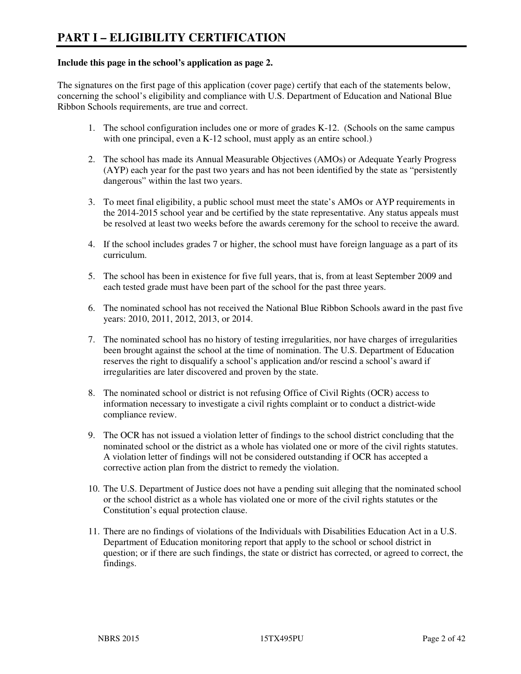#### **Include this page in the school's application as page 2.**

The signatures on the first page of this application (cover page) certify that each of the statements below, concerning the school's eligibility and compliance with U.S. Department of Education and National Blue Ribbon Schools requirements, are true and correct.

- 1. The school configuration includes one or more of grades K-12. (Schools on the same campus with one principal, even a K-12 school, must apply as an entire school.)
- 2. The school has made its Annual Measurable Objectives (AMOs) or Adequate Yearly Progress (AYP) each year for the past two years and has not been identified by the state as "persistently dangerous" within the last two years.
- 3. To meet final eligibility, a public school must meet the state's AMOs or AYP requirements in the 2014-2015 school year and be certified by the state representative. Any status appeals must be resolved at least two weeks before the awards ceremony for the school to receive the award.
- 4. If the school includes grades 7 or higher, the school must have foreign language as a part of its curriculum.
- 5. The school has been in existence for five full years, that is, from at least September 2009 and each tested grade must have been part of the school for the past three years.
- 6. The nominated school has not received the National Blue Ribbon Schools award in the past five years: 2010, 2011, 2012, 2013, or 2014.
- 7. The nominated school has no history of testing irregularities, nor have charges of irregularities been brought against the school at the time of nomination. The U.S. Department of Education reserves the right to disqualify a school's application and/or rescind a school's award if irregularities are later discovered and proven by the state.
- 8. The nominated school or district is not refusing Office of Civil Rights (OCR) access to information necessary to investigate a civil rights complaint or to conduct a district-wide compliance review.
- 9. The OCR has not issued a violation letter of findings to the school district concluding that the nominated school or the district as a whole has violated one or more of the civil rights statutes. A violation letter of findings will not be considered outstanding if OCR has accepted a corrective action plan from the district to remedy the violation.
- 10. The U.S. Department of Justice does not have a pending suit alleging that the nominated school or the school district as a whole has violated one or more of the civil rights statutes or the Constitution's equal protection clause.
- 11. There are no findings of violations of the Individuals with Disabilities Education Act in a U.S. Department of Education monitoring report that apply to the school or school district in question; or if there are such findings, the state or district has corrected, or agreed to correct, the findings.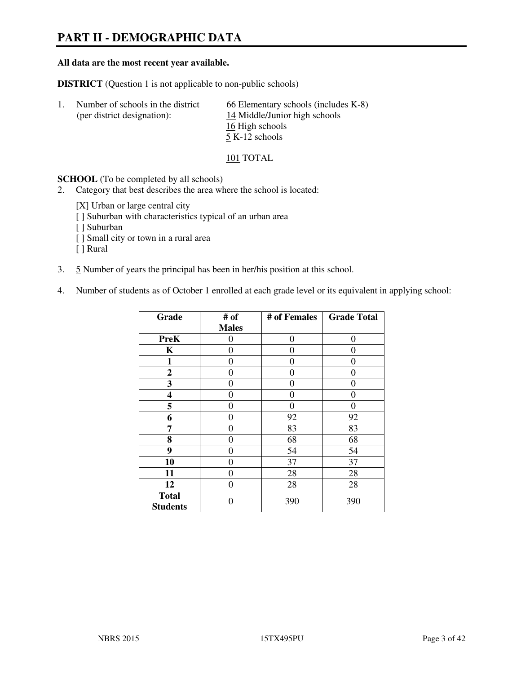# **PART II - DEMOGRAPHIC DATA**

#### **All data are the most recent year available.**

**DISTRICT** (Question 1 is not applicable to non-public schools)

| -1. | Number of schools in the district | $\underline{66}$ Elementary schools (includes K-8) |
|-----|-----------------------------------|----------------------------------------------------|
|     | (per district designation):       | 14 Middle/Junior high schools                      |
|     |                                   | 16 High schools                                    |
|     |                                   | 5 K-12 schools                                     |

#### 101 TOTAL

**SCHOOL** (To be completed by all schools)

- 2. Category that best describes the area where the school is located:
	- [X] Urban or large central city
	- [ ] Suburban with characteristics typical of an urban area
	- [ ] Suburban
	- [ ] Small city or town in a rural area
	- [ ] Rural
- 3. 5 Number of years the principal has been in her/his position at this school.
- 4. Number of students as of October 1 enrolled at each grade level or its equivalent in applying school:

| Grade                           | # of         | # of Females | <b>Grade Total</b> |
|---------------------------------|--------------|--------------|--------------------|
|                                 | <b>Males</b> |              |                    |
| <b>PreK</b>                     | 0            | $\theta$     | $\theta$           |
| K                               | 0            | 0            | $\theta$           |
| 1                               | 0            | 0            | 0                  |
| $\mathbf{2}$                    | 0            | 0            | 0                  |
| 3                               | 0            | 0            | 0                  |
| 4                               | 0            | 0            | 0                  |
| 5                               | 0            | 0            | $\theta$           |
| 6                               | 0            | 92           | 92                 |
| 7                               | 0            | 83           | 83                 |
| 8                               | 0            | 68           | 68                 |
| 9                               | 0            | 54           | 54                 |
| 10                              | 0            | 37           | 37                 |
| 11                              | 0            | 28           | 28                 |
| 12                              | 0            | 28           | 28                 |
| <b>Total</b><br><b>Students</b> | 0            | 390          | 390                |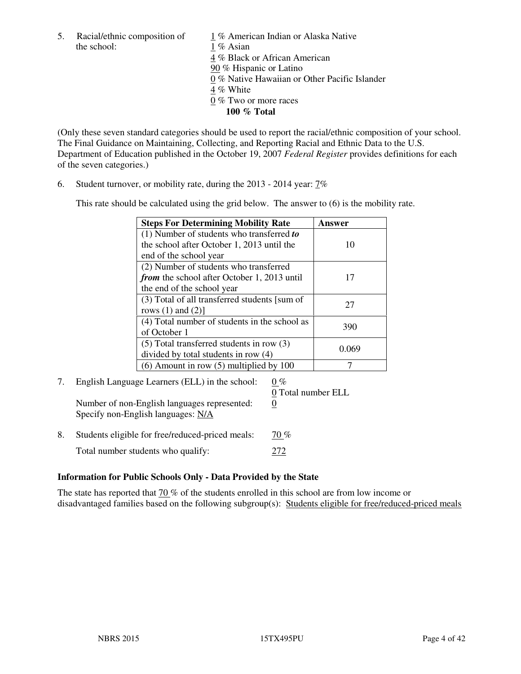the school: 1 % Asian

5. Racial/ethnic composition of  $1\%$  American Indian or Alaska Native 4 % Black or African American 90 % Hispanic or Latino 0 % Native Hawaiian or Other Pacific Islander 4 % White 0 % Two or more races **100 % Total** 

(Only these seven standard categories should be used to report the racial/ethnic composition of your school. The Final Guidance on Maintaining, Collecting, and Reporting Racial and Ethnic Data to the U.S. Department of Education published in the October 19, 2007 *Federal Register* provides definitions for each of the seven categories.)

6. Student turnover, or mobility rate, during the 2013 - 2014 year: 7%

This rate should be calculated using the grid below. The answer to (6) is the mobility rate.

| <b>Steps For Determining Mobility Rate</b>         | Answer |
|----------------------------------------------------|--------|
| $(1)$ Number of students who transferred to        |        |
| the school after October 1, 2013 until the         | 10     |
| end of the school year                             |        |
| (2) Number of students who transferred             |        |
| <i>from</i> the school after October 1, 2013 until | 17     |
| the end of the school year                         |        |
| (3) Total of all transferred students [sum of      | 27     |
| rows $(1)$ and $(2)$ ]                             |        |
| (4) Total number of students in the school as      |        |
| of October 1                                       | 390    |
| $(5)$ Total transferred students in row $(3)$      |        |
| divided by total students in row (4)               | 0.069  |
| $(6)$ Amount in row $(5)$ multiplied by 100        |        |

# 7. English Language Learners (ELL) in the school:  $0\%$  0 Total number ELL Number of non-English languages represented: 0 Specify non-English languages: N/A 8. Students eligible for free/reduced-priced meals:  $\frac{70\%}{60\%}$

Total number students who qualify: 272

#### **Information for Public Schools Only - Data Provided by the State**

The state has reported that 70 % of the students enrolled in this school are from low income or disadvantaged families based on the following subgroup(s): Students eligible for free/reduced-priced meals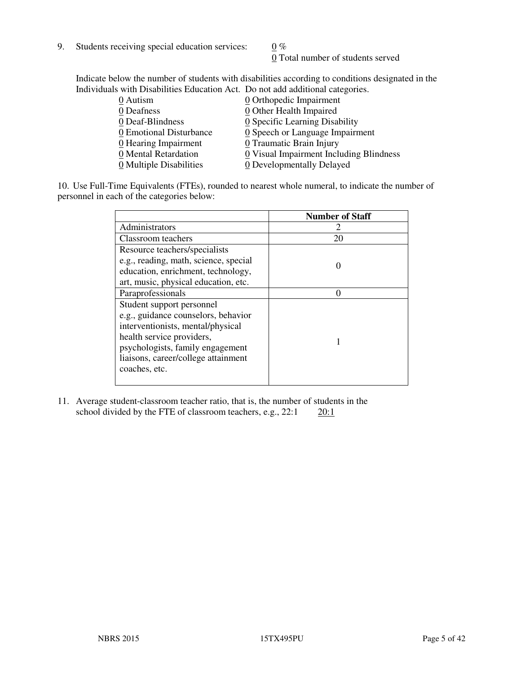9. Students receiving special education services:  $0\%$ 

0 Total number of students served

Indicate below the number of students with disabilities according to conditions designated in the Individuals with Disabilities Education Act. Do not add additional categories.

| 0 Autism                | 0 Orthopedic Impairment                 |
|-------------------------|-----------------------------------------|
| 0 Deafness              | 0 Other Health Impaired                 |
| 0 Deaf-Blindness        | 0 Specific Learning Disability          |
| 0 Emotional Disturbance | 0 Speech or Language Impairment         |
| 0 Hearing Impairment    | 0 Traumatic Brain Injury                |
| 0 Mental Retardation    | 0 Visual Impairment Including Blindness |
| 0 Multiple Disabilities | 0 Developmentally Delayed               |
|                         |                                         |

10. Use Full-Time Equivalents (FTEs), rounded to nearest whole numeral, to indicate the number of personnel in each of the categories below:

|                                       | <b>Number of Staff</b> |
|---------------------------------------|------------------------|
| Administrators                        |                        |
| Classroom teachers                    | 20                     |
| Resource teachers/specialists         |                        |
| e.g., reading, math, science, special |                        |
| education, enrichment, technology,    |                        |
| art, music, physical education, etc.  |                        |
| Paraprofessionals                     |                        |
| Student support personnel             |                        |
| e.g., guidance counselors, behavior   |                        |
| interventionists, mental/physical     |                        |
| health service providers,             |                        |
| psychologists, family engagement      |                        |
| liaisons, career/college attainment   |                        |
| coaches, etc.                         |                        |
|                                       |                        |

11. Average student-classroom teacher ratio, that is, the number of students in the school divided by the FTE of classroom teachers, e.g.,  $22:1$   $20:1$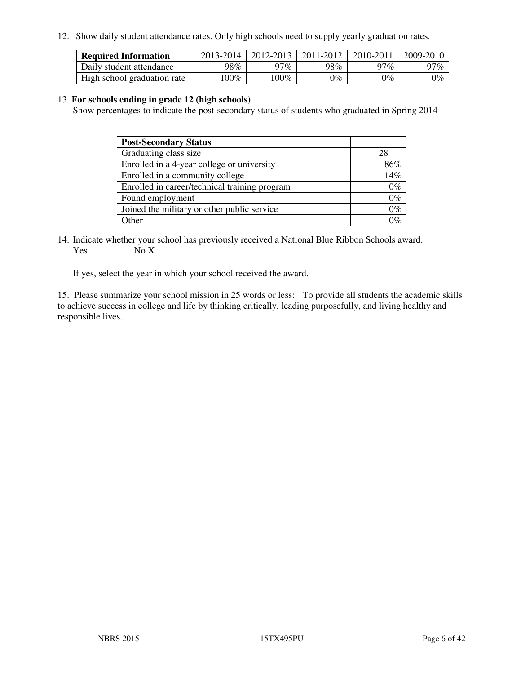12. Show daily student attendance rates. Only high schools need to supply yearly graduation rates.

| <b>Required Information</b> | 2013-2014 | 2012-2013 | 2011-2012 | 2010-2011 | 2009-2010 |
|-----------------------------|-----------|-----------|-----------|-----------|-----------|
| Daily student attendance    | 98%       | 97%       | 98%       | $27\%$    | 97%       |
| High school graduation rate | $00\%$    | $100\%$   | $0\%$     | $0\%$     | $0\%$     |

#### 13. **For schools ending in grade 12 (high schools)**

Show percentages to indicate the post-secondary status of students who graduated in Spring 2014

| <b>Post-Secondary Status</b>                  |       |
|-----------------------------------------------|-------|
| Graduating class size                         | 28    |
| Enrolled in a 4-year college or university    | 86%   |
| Enrolled in a community college               | 14%   |
| Enrolled in career/technical training program | $0\%$ |
| Found employment                              | $0\%$ |
| Joined the military or other public service   | $0\%$ |
| Other                                         | 101   |

14. Indicate whether your school has previously received a National Blue Ribbon Schools award. Yes No X

If yes, select the year in which your school received the award.

15. Please summarize your school mission in 25 words or less: To provide all students the academic skills to achieve success in college and life by thinking critically, leading purposefully, and living healthy and responsible lives.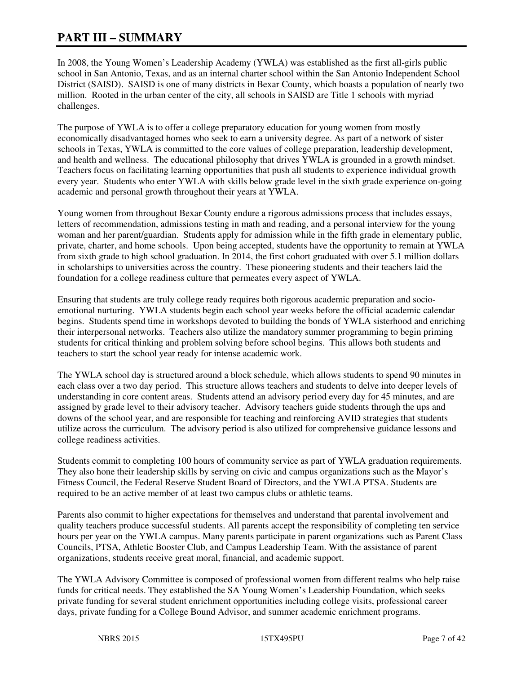# **PART III – SUMMARY**

In 2008, the Young Women's Leadership Academy (YWLA) was established as the first all-girls public school in San Antonio, Texas, and as an internal charter school within the San Antonio Independent School District (SAISD). SAISD is one of many districts in Bexar County, which boasts a population of nearly two million. Rooted in the urban center of the city, all schools in SAISD are Title 1 schools with myriad challenges.

The purpose of YWLA is to offer a college preparatory education for young women from mostly economically disadvantaged homes who seek to earn a university degree. As part of a network of sister schools in Texas, YWLA is committed to the core values of college preparation, leadership development, and health and wellness. The educational philosophy that drives YWLA is grounded in a growth mindset. Teachers focus on facilitating learning opportunities that push all students to experience individual growth every year. Students who enter YWLA with skills below grade level in the sixth grade experience on-going academic and personal growth throughout their years at YWLA.

Young women from throughout Bexar County endure a rigorous admissions process that includes essays, letters of recommendation, admissions testing in math and reading, and a personal interview for the young woman and her parent/guardian. Students apply for admission while in the fifth grade in elementary public, private, charter, and home schools. Upon being accepted, students have the opportunity to remain at YWLA from sixth grade to high school graduation. In 2014, the first cohort graduated with over 5.1 million dollars in scholarships to universities across the country. These pioneering students and their teachers laid the foundation for a college readiness culture that permeates every aspect of YWLA.

Ensuring that students are truly college ready requires both rigorous academic preparation and socioemotional nurturing. YWLA students begin each school year weeks before the official academic calendar begins. Students spend time in workshops devoted to building the bonds of YWLA sisterhood and enriching their interpersonal networks. Teachers also utilize the mandatory summer programming to begin priming students for critical thinking and problem solving before school begins. This allows both students and teachers to start the school year ready for intense academic work.

The YWLA school day is structured around a block schedule, which allows students to spend 90 minutes in each class over a two day period. This structure allows teachers and students to delve into deeper levels of understanding in core content areas. Students attend an advisory period every day for 45 minutes, and are assigned by grade level to their advisory teacher. Advisory teachers guide students through the ups and downs of the school year, and are responsible for teaching and reinforcing AVID strategies that students utilize across the curriculum. The advisory period is also utilized for comprehensive guidance lessons and college readiness activities.

Students commit to completing 100 hours of community service as part of YWLA graduation requirements. They also hone their leadership skills by serving on civic and campus organizations such as the Mayor's Fitness Council, the Federal Reserve Student Board of Directors, and the YWLA PTSA. Students are required to be an active member of at least two campus clubs or athletic teams.

Parents also commit to higher expectations for themselves and understand that parental involvement and quality teachers produce successful students. All parents accept the responsibility of completing ten service hours per year on the YWLA campus. Many parents participate in parent organizations such as Parent Class Councils, PTSA, Athletic Booster Club, and Campus Leadership Team. With the assistance of parent organizations, students receive great moral, financial, and academic support.

The YWLA Advisory Committee is composed of professional women from different realms who help raise funds for critical needs. They established the SA Young Women's Leadership Foundation, which seeks private funding for several student enrichment opportunities including college visits, professional career days, private funding for a College Bound Advisor, and summer academic enrichment programs.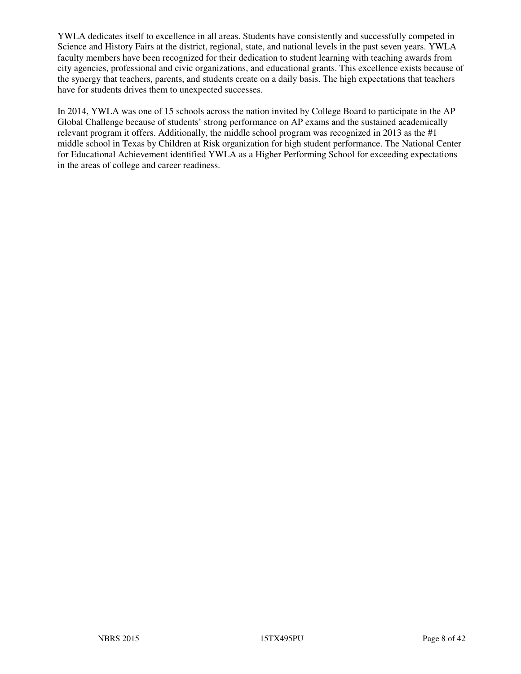YWLA dedicates itself to excellence in all areas. Students have consistently and successfully competed in Science and History Fairs at the district, regional, state, and national levels in the past seven years. YWLA faculty members have been recognized for their dedication to student learning with teaching awards from city agencies, professional and civic organizations, and educational grants. This excellence exists because of the synergy that teachers, parents, and students create on a daily basis. The high expectations that teachers have for students drives them to unexpected successes.

In 2014, YWLA was one of 15 schools across the nation invited by College Board to participate in the AP Global Challenge because of students' strong performance on AP exams and the sustained academically relevant program it offers. Additionally, the middle school program was recognized in 2013 as the #1 middle school in Texas by Children at Risk organization for high student performance. The National Center for Educational Achievement identified YWLA as a Higher Performing School for exceeding expectations in the areas of college and career readiness.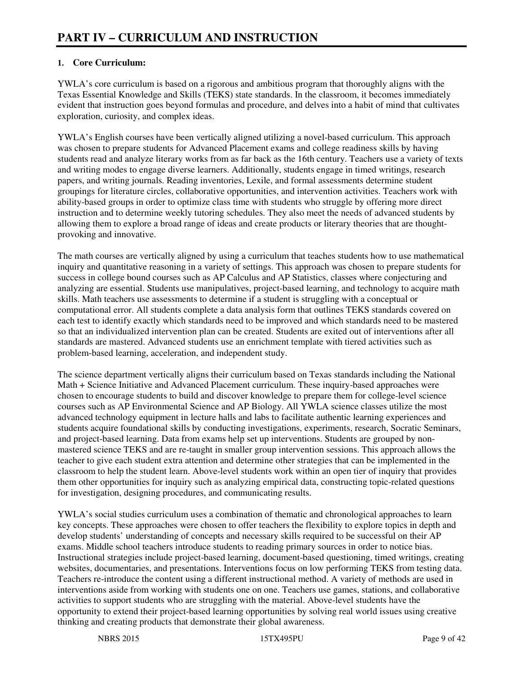## **1. Core Curriculum:**

YWLA's core curriculum is based on a rigorous and ambitious program that thoroughly aligns with the Texas Essential Knowledge and Skills (TEKS) state standards. In the classroom, it becomes immediately evident that instruction goes beyond formulas and procedure, and delves into a habit of mind that cultivates exploration, curiosity, and complex ideas.

YWLA's English courses have been vertically aligned utilizing a novel-based curriculum. This approach was chosen to prepare students for Advanced Placement exams and college readiness skills by having students read and analyze literary works from as far back as the 16th century. Teachers use a variety of texts and writing modes to engage diverse learners. Additionally, students engage in timed writings, research papers, and writing journals. Reading inventories, Lexile, and formal assessments determine student groupings for literature circles, collaborative opportunities, and intervention activities. Teachers work with ability-based groups in order to optimize class time with students who struggle by offering more direct instruction and to determine weekly tutoring schedules. They also meet the needs of advanced students by allowing them to explore a broad range of ideas and create products or literary theories that are thoughtprovoking and innovative.

The math courses are vertically aligned by using a curriculum that teaches students how to use mathematical inquiry and quantitative reasoning in a variety of settings. This approach was chosen to prepare students for success in college bound courses such as AP Calculus and AP Statistics, classes where conjecturing and analyzing are essential. Students use manipulatives, project-based learning, and technology to acquire math skills. Math teachers use assessments to determine if a student is struggling with a conceptual or computational error. All students complete a data analysis form that outlines TEKS standards covered on each test to identify exactly which standards need to be improved and which standards need to be mastered so that an individualized intervention plan can be created. Students are exited out of interventions after all standards are mastered. Advanced students use an enrichment template with tiered activities such as problem-based learning, acceleration, and independent study.

The science department vertically aligns their curriculum based on Texas standards including the National Math + Science Initiative and Advanced Placement curriculum. These inquiry-based approaches were chosen to encourage students to build and discover knowledge to prepare them for college-level science courses such as AP Environmental Science and AP Biology. All YWLA science classes utilize the most advanced technology equipment in lecture halls and labs to facilitate authentic learning experiences and students acquire foundational skills by conducting investigations, experiments, research, Socratic Seminars, and project-based learning. Data from exams help set up interventions. Students are grouped by nonmastered science TEKS and are re-taught in smaller group intervention sessions. This approach allows the teacher to give each student extra attention and determine other strategies that can be implemented in the classroom to help the student learn. Above-level students work within an open tier of inquiry that provides them other opportunities for inquiry such as analyzing empirical data, constructing topic-related questions for investigation, designing procedures, and communicating results.

YWLA's social studies curriculum uses a combination of thematic and chronological approaches to learn key concepts. These approaches were chosen to offer teachers the flexibility to explore topics in depth and develop students' understanding of concepts and necessary skills required to be successful on their AP exams. Middle school teachers introduce students to reading primary sources in order to notice bias. Instructional strategies include project-based learning, document-based questioning, timed writings, creating websites, documentaries, and presentations. Interventions focus on low performing TEKS from testing data. Teachers re-introduce the content using a different instructional method. A variety of methods are used in interventions aside from working with students one on one. Teachers use games, stations, and collaborative activities to support students who are struggling with the material. Above-level students have the opportunity to extend their project-based learning opportunities by solving real world issues using creative thinking and creating products that demonstrate their global awareness.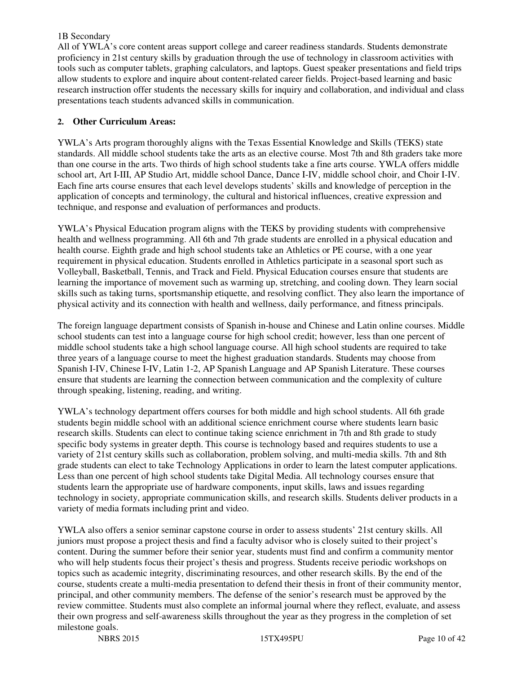#### 1B Secondary

All of YWLA's core content areas support college and career readiness standards. Students demonstrate proficiency in 21st century skills by graduation through the use of technology in classroom activities with tools such as computer tablets, graphing calculators, and laptops. Guest speaker presentations and field trips allow students to explore and inquire about content-related career fields. Project-based learning and basic research instruction offer students the necessary skills for inquiry and collaboration, and individual and class presentations teach students advanced skills in communication.

## **2. Other Curriculum Areas:**

YWLA's Arts program thoroughly aligns with the Texas Essential Knowledge and Skills (TEKS) state standards. All middle school students take the arts as an elective course. Most 7th and 8th graders take more than one course in the arts. Two thirds of high school students take a fine arts course. YWLA offers middle school art, Art I-III, AP Studio Art, middle school Dance, Dance I-IV, middle school choir, and Choir I-IV. Each fine arts course ensures that each level develops students' skills and knowledge of perception in the application of concepts and terminology, the cultural and historical influences, creative expression and technique, and response and evaluation of performances and products.

YWLA's Physical Education program aligns with the TEKS by providing students with comprehensive health and wellness programming. All 6th and 7th grade students are enrolled in a physical education and health course. Eighth grade and high school students take an Athletics or PE course, with a one year requirement in physical education. Students enrolled in Athletics participate in a seasonal sport such as Volleyball, Basketball, Tennis, and Track and Field. Physical Education courses ensure that students are learning the importance of movement such as warming up, stretching, and cooling down. They learn social skills such as taking turns, sportsmanship etiquette, and resolving conflict. They also learn the importance of physical activity and its connection with health and wellness, daily performance, and fitness principals.

The foreign language department consists of Spanish in-house and Chinese and Latin online courses. Middle school students can test into a language course for high school credit; however, less than one percent of middle school students take a high school language course. All high school students are required to take three years of a language course to meet the highest graduation standards. Students may choose from Spanish I-IV, Chinese I-IV, Latin 1-2, AP Spanish Language and AP Spanish Literature. These courses ensure that students are learning the connection between communication and the complexity of culture through speaking, listening, reading, and writing.

YWLA's technology department offers courses for both middle and high school students. All 6th grade students begin middle school with an additional science enrichment course where students learn basic research skills. Students can elect to continue taking science enrichment in 7th and 8th grade to study specific body systems in greater depth. This course is technology based and requires students to use a variety of 21st century skills such as collaboration, problem solving, and multi-media skills. 7th and 8th grade students can elect to take Technology Applications in order to learn the latest computer applications. Less than one percent of high school students take Digital Media. All technology courses ensure that students learn the appropriate use of hardware components, input skills, laws and issues regarding technology in society, appropriate communication skills, and research skills. Students deliver products in a variety of media formats including print and video.

YWLA also offers a senior seminar capstone course in order to assess students' 21st century skills. All juniors must propose a project thesis and find a faculty advisor who is closely suited to their project's content. During the summer before their senior year, students must find and confirm a community mentor who will help students focus their project's thesis and progress. Students receive periodic workshops on topics such as academic integrity, discriminating resources, and other research skills. By the end of the course, students create a multi-media presentation to defend their thesis in front of their community mentor, principal, and other community members. The defense of the senior's research must be approved by the review committee. Students must also complete an informal journal where they reflect, evaluate, and assess their own progress and self-awareness skills throughout the year as they progress in the completion of set milestone goals.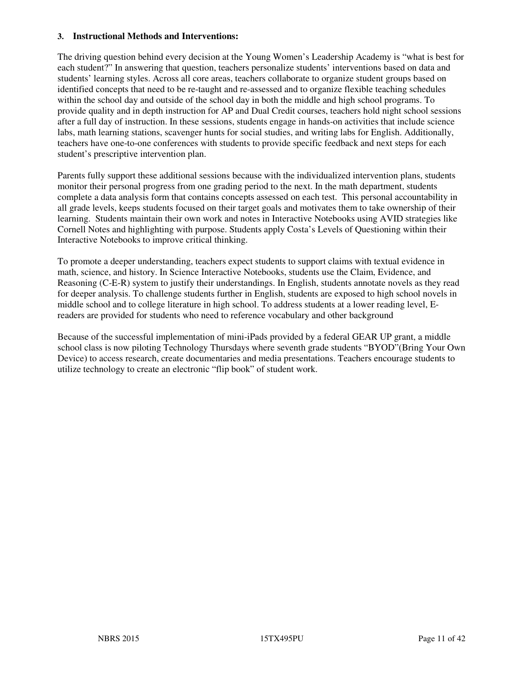#### **3. Instructional Methods and Interventions:**

The driving question behind every decision at the Young Women's Leadership Academy is "what is best for each student?" In answering that question, teachers personalize students' interventions based on data and students' learning styles. Across all core areas, teachers collaborate to organize student groups based on identified concepts that need to be re-taught and re-assessed and to organize flexible teaching schedules within the school day and outside of the school day in both the middle and high school programs. To provide quality and in depth instruction for AP and Dual Credit courses, teachers hold night school sessions after a full day of instruction. In these sessions, students engage in hands-on activities that include science labs, math learning stations, scavenger hunts for social studies, and writing labs for English. Additionally, teachers have one-to-one conferences with students to provide specific feedback and next steps for each student's prescriptive intervention plan.

Parents fully support these additional sessions because with the individualized intervention plans, students monitor their personal progress from one grading period to the next. In the math department, students complete a data analysis form that contains concepts assessed on each test. This personal accountability in all grade levels, keeps students focused on their target goals and motivates them to take ownership of their learning. Students maintain their own work and notes in Interactive Notebooks using AVID strategies like Cornell Notes and highlighting with purpose. Students apply Costa's Levels of Questioning within their Interactive Notebooks to improve critical thinking.

To promote a deeper understanding, teachers expect students to support claims with textual evidence in math, science, and history. In Science Interactive Notebooks, students use the Claim, Evidence, and Reasoning (C-E-R) system to justify their understandings. In English, students annotate novels as they read for deeper analysis. To challenge students further in English, students are exposed to high school novels in middle school and to college literature in high school. To address students at a lower reading level, Ereaders are provided for students who need to reference vocabulary and other background

Because of the successful implementation of mini-iPads provided by a federal GEAR UP grant, a middle school class is now piloting Technology Thursdays where seventh grade students "BYOD"(Bring Your Own Device) to access research, create documentaries and media presentations. Teachers encourage students to utilize technology to create an electronic "flip book" of student work.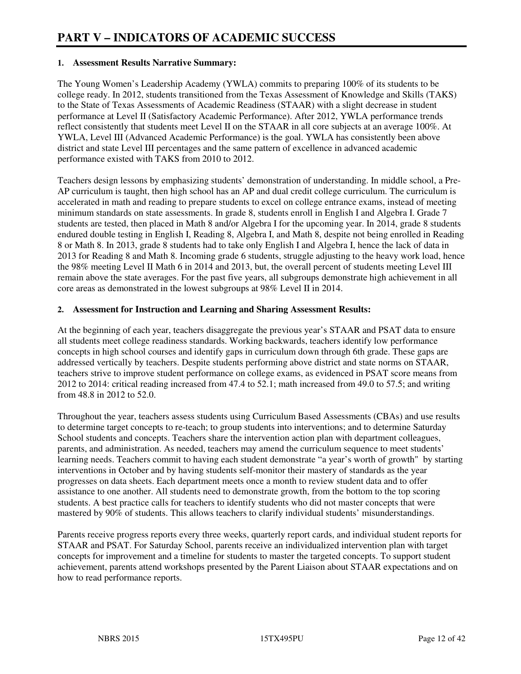#### **1. Assessment Results Narrative Summary:**

The Young Women's Leadership Academy (YWLA) commits to preparing 100% of its students to be college ready. In 2012, students transitioned from the Texas Assessment of Knowledge and Skills (TAKS) to the State of Texas Assessments of Academic Readiness (STAAR) with a slight decrease in student performance at Level II (Satisfactory Academic Performance). After 2012, YWLA performance trends reflect consistently that students meet Level II on the STAAR in all core subjects at an average 100%. At YWLA, Level III (Advanced Academic Performance) is the goal. YWLA has consistently been above district and state Level III percentages and the same pattern of excellence in advanced academic performance existed with TAKS from 2010 to 2012.

Teachers design lessons by emphasizing students' demonstration of understanding. In middle school, a Pre-AP curriculum is taught, then high school has an AP and dual credit college curriculum. The curriculum is accelerated in math and reading to prepare students to excel on college entrance exams, instead of meeting minimum standards on state assessments. In grade 8, students enroll in English I and Algebra I. Grade 7 students are tested, then placed in Math 8 and/or Algebra I for the upcoming year. In 2014, grade 8 students endured double testing in English I, Reading 8, Algebra I, and Math 8, despite not being enrolled in Reading 8 or Math 8. In 2013, grade 8 students had to take only English I and Algebra I, hence the lack of data in 2013 for Reading 8 and Math 8. Incoming grade 6 students, struggle adjusting to the heavy work load, hence the 98% meeting Level II Math 6 in 2014 and 2013, but, the overall percent of students meeting Level III remain above the state averages. For the past five years, all subgroups demonstrate high achievement in all core areas as demonstrated in the lowest subgroups at 98% Level II in 2014.

#### **2. Assessment for Instruction and Learning and Sharing Assessment Results:**

At the beginning of each year, teachers disaggregate the previous year's STAAR and PSAT data to ensure all students meet college readiness standards. Working backwards, teachers identify low performance concepts in high school courses and identify gaps in curriculum down through 6th grade. These gaps are addressed vertically by teachers. Despite students performing above district and state norms on STAAR, teachers strive to improve student performance on college exams, as evidenced in PSAT score means from 2012 to 2014: critical reading increased from 47.4 to 52.1; math increased from 49.0 to 57.5; and writing from 48.8 in 2012 to 52.0.

Throughout the year, teachers assess students using Curriculum Based Assessments (CBAs) and use results to determine target concepts to re-teach; to group students into interventions; and to determine Saturday School students and concepts. Teachers share the intervention action plan with department colleagues, parents, and administration. As needed, teachers may amend the curriculum sequence to meet students' learning needs. Teachers commit to having each student demonstrate "a year's worth of growth" by starting interventions in October and by having students self-monitor their mastery of standards as the year progresses on data sheets. Each department meets once a month to review student data and to offer assistance to one another. All students need to demonstrate growth, from the bottom to the top scoring students. A best practice calls for teachers to identify students who did not master concepts that were mastered by 90% of students. This allows teachers to clarify individual students' misunderstandings.

Parents receive progress reports every three weeks, quarterly report cards, and individual student reports for STAAR and PSAT. For Saturday School, parents receive an individualized intervention plan with target concepts for improvement and a timeline for students to master the targeted concepts. To support student achievement, parents attend workshops presented by the Parent Liaison about STAAR expectations and on how to read performance reports.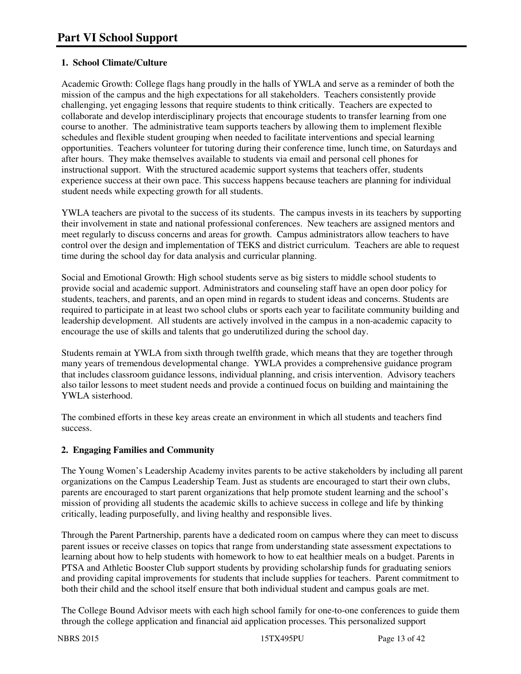# **1. School Climate/Culture**

Academic Growth: College flags hang proudly in the halls of YWLA and serve as a reminder of both the mission of the campus and the high expectations for all stakeholders. Teachers consistently provide challenging, yet engaging lessons that require students to think critically. Teachers are expected to collaborate and develop interdisciplinary projects that encourage students to transfer learning from one course to another. The administrative team supports teachers by allowing them to implement flexible schedules and flexible student grouping when needed to facilitate interventions and special learning opportunities. Teachers volunteer for tutoring during their conference time, lunch time, on Saturdays and after hours. They make themselves available to students via email and personal cell phones for instructional support. With the structured academic support systems that teachers offer, students experience success at their own pace. This success happens because teachers are planning for individual student needs while expecting growth for all students.

YWLA teachers are pivotal to the success of its students. The campus invests in its teachers by supporting their involvement in state and national professional conferences. New teachers are assigned mentors and meet regularly to discuss concerns and areas for growth. Campus administrators allow teachers to have control over the design and implementation of TEKS and district curriculum. Teachers are able to request time during the school day for data analysis and curricular planning.

Social and Emotional Growth: High school students serve as big sisters to middle school students to provide social and academic support. Administrators and counseling staff have an open door policy for students, teachers, and parents, and an open mind in regards to student ideas and concerns. Students are required to participate in at least two school clubs or sports each year to facilitate community building and leadership development. All students are actively involved in the campus in a non-academic capacity to encourage the use of skills and talents that go underutilized during the school day.

Students remain at YWLA from sixth through twelfth grade, which means that they are together through many years of tremendous developmental change. YWLA provides a comprehensive guidance program that includes classroom guidance lessons, individual planning, and crisis intervention. Advisory teachers also tailor lessons to meet student needs and provide a continued focus on building and maintaining the YWLA sisterhood.

The combined efforts in these key areas create an environment in which all students and teachers find success.

## **2. Engaging Families and Community**

The Young Women's Leadership Academy invites parents to be active stakeholders by including all parent organizations on the Campus Leadership Team. Just as students are encouraged to start their own clubs, parents are encouraged to start parent organizations that help promote student learning and the school's mission of providing all students the academic skills to achieve success in college and life by thinking critically, leading purposefully, and living healthy and responsible lives.

Through the Parent Partnership, parents have a dedicated room on campus where they can meet to discuss parent issues or receive classes on topics that range from understanding state assessment expectations to learning about how to help students with homework to how to eat healthier meals on a budget. Parents in PTSA and Athletic Booster Club support students by providing scholarship funds for graduating seniors and providing capital improvements for students that include supplies for teachers. Parent commitment to both their child and the school itself ensure that both individual student and campus goals are met.

The College Bound Advisor meets with each high school family for one-to-one conferences to guide them through the college application and financial aid application processes. This personalized support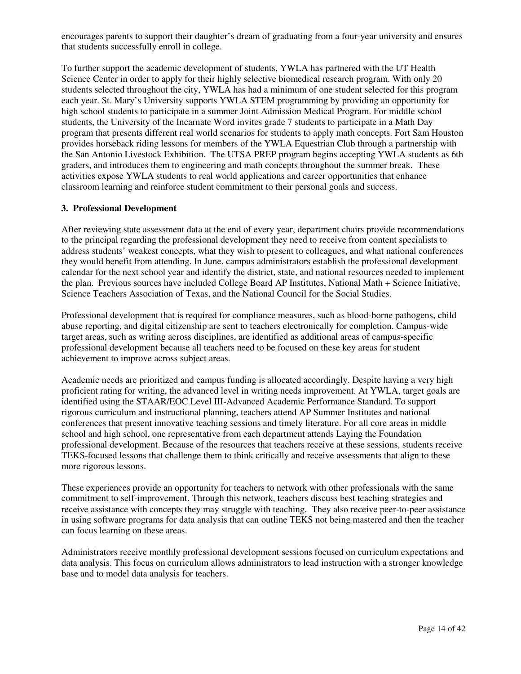encourages parents to support their daughter's dream of graduating from a four-year university and ensures that students successfully enroll in college.

To further support the academic development of students, YWLA has partnered with the UT Health Science Center in order to apply for their highly selective biomedical research program. With only 20 students selected throughout the city, YWLA has had a minimum of one student selected for this program each year. St. Mary's University supports YWLA STEM programming by providing an opportunity for high school students to participate in a summer Joint Admission Medical Program. For middle school students, the University of the Incarnate Word invites grade 7 students to participate in a Math Day program that presents different real world scenarios for students to apply math concepts. Fort Sam Houston provides horseback riding lessons for members of the YWLA Equestrian Club through a partnership with the San Antonio Livestock Exhibition. The UTSA PREP program begins accepting YWLA students as 6th graders, and introduces them to engineering and math concepts throughout the summer break. These activities expose YWLA students to real world applications and career opportunities that enhance classroom learning and reinforce student commitment to their personal goals and success.

#### **3. Professional Development**

After reviewing state assessment data at the end of every year, department chairs provide recommendations to the principal regarding the professional development they need to receive from content specialists to address students' weakest concepts, what they wish to present to colleagues, and what national conferences they would benefit from attending. In June, campus administrators establish the professional development calendar for the next school year and identify the district, state, and national resources needed to implement the plan. Previous sources have included College Board AP Institutes, National Math + Science Initiative, Science Teachers Association of Texas, and the National Council for the Social Studies.

Professional development that is required for compliance measures, such as blood-borne pathogens, child abuse reporting, and digital citizenship are sent to teachers electronically for completion. Campus-wide target areas, such as writing across disciplines, are identified as additional areas of campus-specific professional development because all teachers need to be focused on these key areas for student achievement to improve across subject areas.

Academic needs are prioritized and campus funding is allocated accordingly. Despite having a very high proficient rating for writing, the advanced level in writing needs improvement. At YWLA, target goals are identified using the STAAR/EOC Level III-Advanced Academic Performance Standard. To support rigorous curriculum and instructional planning, teachers attend AP Summer Institutes and national conferences that present innovative teaching sessions and timely literature. For all core areas in middle school and high school, one representative from each department attends Laying the Foundation professional development. Because of the resources that teachers receive at these sessions, students receive TEKS-focused lessons that challenge them to think critically and receive assessments that align to these more rigorous lessons.

These experiences provide an opportunity for teachers to network with other professionals with the same commitment to self-improvement. Through this network, teachers discuss best teaching strategies and receive assistance with concepts they may struggle with teaching. They also receive peer-to-peer assistance in using software programs for data analysis that can outline TEKS not being mastered and then the teacher can focus learning on these areas.

Administrators receive monthly professional development sessions focused on curriculum expectations and data analysis. This focus on curriculum allows administrators to lead instruction with a stronger knowledge base and to model data analysis for teachers.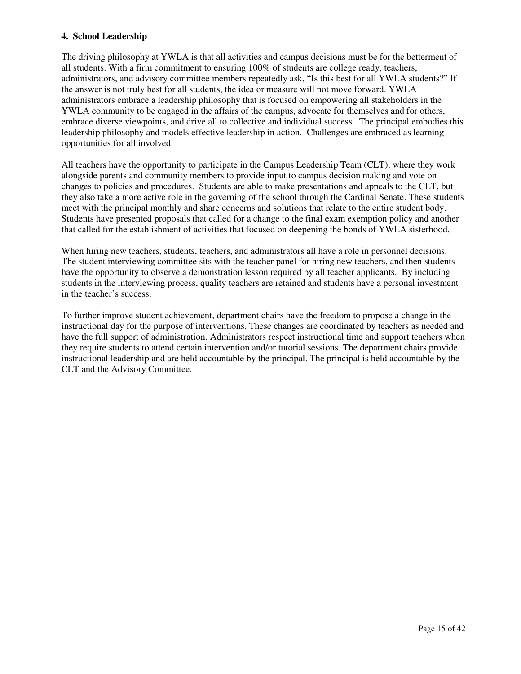#### **4. School Leadership**

The driving philosophy at YWLA is that all activities and campus decisions must be for the betterment of all students. With a firm commitment to ensuring 100% of students are college ready, teachers, administrators, and advisory committee members repeatedly ask, "Is this best for all YWLA students?" If the answer is not truly best for all students, the idea or measure will not move forward. YWLA administrators embrace a leadership philosophy that is focused on empowering all stakeholders in the YWLA community to be engaged in the affairs of the campus, advocate for themselves and for others, embrace diverse viewpoints, and drive all to collective and individual success. The principal embodies this leadership philosophy and models effective leadership in action. Challenges are embraced as learning opportunities for all involved.

All teachers have the opportunity to participate in the Campus Leadership Team (CLT), where they work alongside parents and community members to provide input to campus decision making and vote on changes to policies and procedures. Students are able to make presentations and appeals to the CLT, but they also take a more active role in the governing of the school through the Cardinal Senate. These students meet with the principal monthly and share concerns and solutions that relate to the entire student body. Students have presented proposals that called for a change to the final exam exemption policy and another that called for the establishment of activities that focused on deepening the bonds of YWLA sisterhood.

When hiring new teachers, students, teachers, and administrators all have a role in personnel decisions. The student interviewing committee sits with the teacher panel for hiring new teachers, and then students have the opportunity to observe a demonstration lesson required by all teacher applicants. By including students in the interviewing process, quality teachers are retained and students have a personal investment in the teacher's success.

To further improve student achievement, department chairs have the freedom to propose a change in the instructional day for the purpose of interventions. These changes are coordinated by teachers as needed and have the full support of administration. Administrators respect instructional time and support teachers when they require students to attend certain intervention and/or tutorial sessions. The department chairs provide instructional leadership and are held accountable by the principal. The principal is held accountable by the CLT and the Advisory Committee.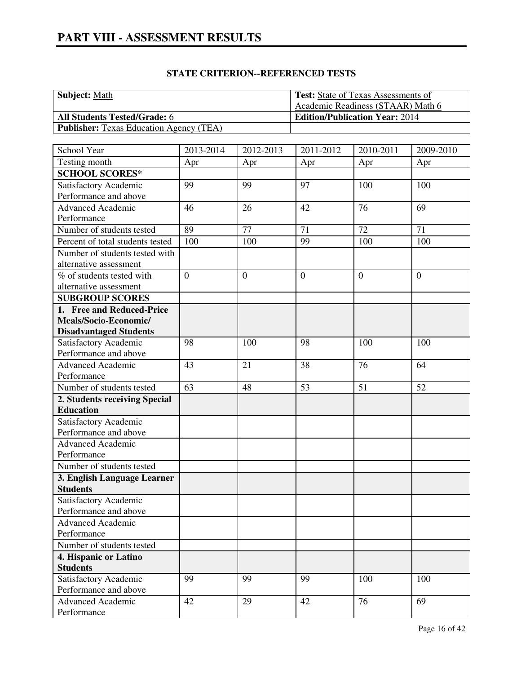| <b>Subject:</b> Math                           | <b>Test:</b> State of Texas Assessments of |
|------------------------------------------------|--------------------------------------------|
|                                                | Academic Readiness (STAAR) Math 6          |
| <b>All Students Tested/Grade: 6</b>            | <b>Edition/Publication Year: 2014</b>      |
| <b>Publisher:</b> Texas Education Agency (TEA) |                                            |

| School Year                      | 2013-2014      | 2012-2013        | 2011-2012      | 2010-2011      | 2009-2010      |
|----------------------------------|----------------|------------------|----------------|----------------|----------------|
| Testing month                    | Apr            | Apr              | Apr            | Apr            | Apr            |
| <b>SCHOOL SCORES*</b>            |                |                  |                |                |                |
| Satisfactory Academic            | 99             | 99               | 97             | 100            | 100            |
| Performance and above            |                |                  |                |                |                |
| <b>Advanced Academic</b>         | 46             | 26               | 42             | 76             | 69             |
| Performance                      |                |                  |                |                |                |
| Number of students tested        | 89             | 77               | 71             | 72             | 71             |
| Percent of total students tested | 100            | 100              | 99             | 100            | 100            |
| Number of students tested with   |                |                  |                |                |                |
| alternative assessment           |                |                  |                |                |                |
| % of students tested with        | $\overline{0}$ | $\boldsymbol{0}$ | $\overline{0}$ | $\overline{0}$ | $\overline{0}$ |
| alternative assessment           |                |                  |                |                |                |
| <b>SUBGROUP SCORES</b>           |                |                  |                |                |                |
| 1. Free and Reduced-Price        |                |                  |                |                |                |
| Meals/Socio-Economic/            |                |                  |                |                |                |
| <b>Disadvantaged Students</b>    |                |                  |                |                |                |
| Satisfactory Academic            | 98             | 100              | 98             | 100            | 100            |
| Performance and above            |                |                  |                |                |                |
| <b>Advanced Academic</b>         | 43             | 21               | 38             | 76             | 64             |
| Performance                      |                |                  |                |                |                |
| Number of students tested        | 63             | 48               | 53             | 51             | 52             |
| 2. Students receiving Special    |                |                  |                |                |                |
| <b>Education</b>                 |                |                  |                |                |                |
| Satisfactory Academic            |                |                  |                |                |                |
| Performance and above            |                |                  |                |                |                |
| <b>Advanced Academic</b>         |                |                  |                |                |                |
| Performance                      |                |                  |                |                |                |
| Number of students tested        |                |                  |                |                |                |
| 3. English Language Learner      |                |                  |                |                |                |
| <b>Students</b>                  |                |                  |                |                |                |
| Satisfactory Academic            |                |                  |                |                |                |
| Performance and above            |                |                  |                |                |                |
| Advanced Academic                |                |                  |                |                |                |
| Performance                      |                |                  |                |                |                |
| Number of students tested        |                |                  |                |                |                |
| 4. Hispanic or Latino            |                |                  |                |                |                |
| <b>Students</b>                  |                |                  |                |                |                |
| Satisfactory Academic            | 99             | 99               | 99             | 100            | 100            |
| Performance and above            |                |                  |                |                |                |
| <b>Advanced Academic</b>         | 42             | 29               | 42             | 76             | 69             |
| Performance                      |                |                  |                |                |                |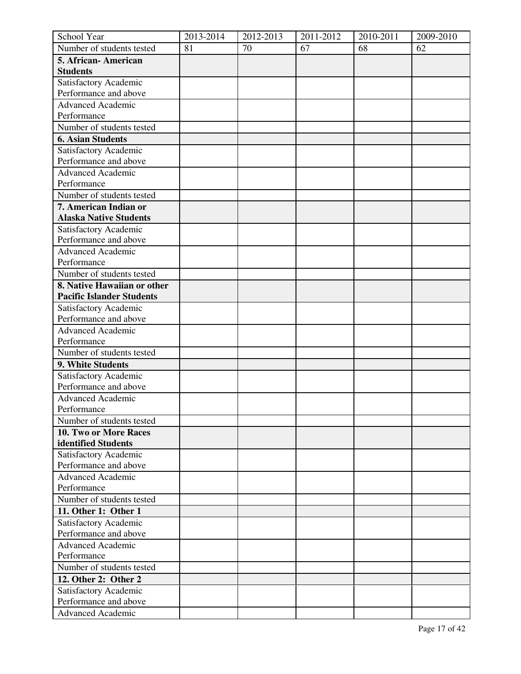| School Year                      | 2013-2014 | 2012-2013 | 2011-2012 | 2010-2011 | 2009-2010 |
|----------------------------------|-----------|-----------|-----------|-----------|-----------|
| Number of students tested        | 81        | 70        | 67        | 68        | 62        |
| 5. African-American              |           |           |           |           |           |
| <b>Students</b>                  |           |           |           |           |           |
| Satisfactory Academic            |           |           |           |           |           |
| Performance and above            |           |           |           |           |           |
| <b>Advanced Academic</b>         |           |           |           |           |           |
| Performance                      |           |           |           |           |           |
| Number of students tested        |           |           |           |           |           |
| <b>6. Asian Students</b>         |           |           |           |           |           |
| Satisfactory Academic            |           |           |           |           |           |
| Performance and above            |           |           |           |           |           |
| <b>Advanced Academic</b>         |           |           |           |           |           |
| Performance                      |           |           |           |           |           |
| Number of students tested        |           |           |           |           |           |
| 7. American Indian or            |           |           |           |           |           |
| <b>Alaska Native Students</b>    |           |           |           |           |           |
| Satisfactory Academic            |           |           |           |           |           |
| Performance and above            |           |           |           |           |           |
| Advanced Academic                |           |           |           |           |           |
| Performance                      |           |           |           |           |           |
| Number of students tested        |           |           |           |           |           |
| 8. Native Hawaiian or other      |           |           |           |           |           |
| <b>Pacific Islander Students</b> |           |           |           |           |           |
| Satisfactory Academic            |           |           |           |           |           |
| Performance and above            |           |           |           |           |           |
| <b>Advanced Academic</b>         |           |           |           |           |           |
| Performance                      |           |           |           |           |           |
| Number of students tested        |           |           |           |           |           |
| 9. White Students                |           |           |           |           |           |
| Satisfactory Academic            |           |           |           |           |           |
| Performance and above            |           |           |           |           |           |
| Advanced Academic                |           |           |           |           |           |
| Performance                      |           |           |           |           |           |
| Number of students tested        |           |           |           |           |           |
| 10. Two or More Races            |           |           |           |           |           |
| identified Students              |           |           |           |           |           |
| Satisfactory Academic            |           |           |           |           |           |
| Performance and above            |           |           |           |           |           |
| <b>Advanced Academic</b>         |           |           |           |           |           |
| Performance                      |           |           |           |           |           |
| Number of students tested        |           |           |           |           |           |
| 11. Other 1: Other 1             |           |           |           |           |           |
| Satisfactory Academic            |           |           |           |           |           |
| Performance and above            |           |           |           |           |           |
| <b>Advanced Academic</b>         |           |           |           |           |           |
| Performance                      |           |           |           |           |           |
| Number of students tested        |           |           |           |           |           |
| 12. Other 2: Other 2             |           |           |           |           |           |
| Satisfactory Academic            |           |           |           |           |           |
| Performance and above            |           |           |           |           |           |
| <b>Advanced Academic</b>         |           |           |           |           |           |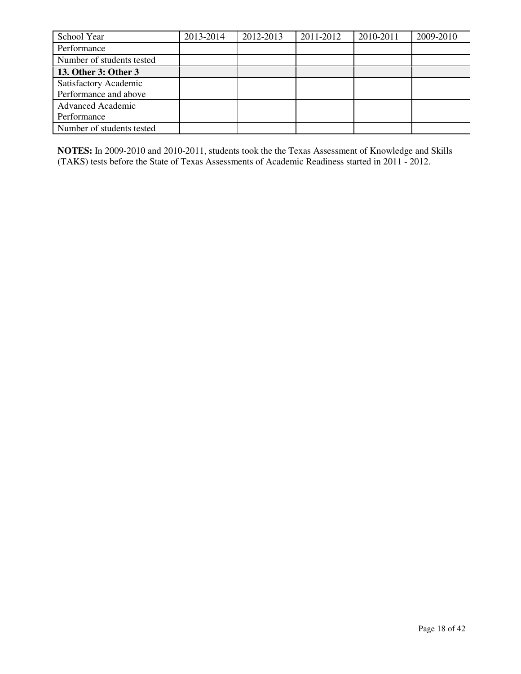| School Year               | 2013-2014 | 2012-2013 | 2011-2012 | 2010-2011 | 2009-2010 |
|---------------------------|-----------|-----------|-----------|-----------|-----------|
| Performance               |           |           |           |           |           |
| Number of students tested |           |           |           |           |           |
| 13. Other 3: Other 3      |           |           |           |           |           |
| Satisfactory Academic     |           |           |           |           |           |
| Performance and above     |           |           |           |           |           |
| <b>Advanced Academic</b>  |           |           |           |           |           |
| Performance               |           |           |           |           |           |
| Number of students tested |           |           |           |           |           |

**NOTES:** In 2009-2010 and 2010-2011, students took the the Texas Assessment of Knowledge and Skills (TAKS) tests before the State of Texas Assessments of Academic Readiness started in 2011 - 2012.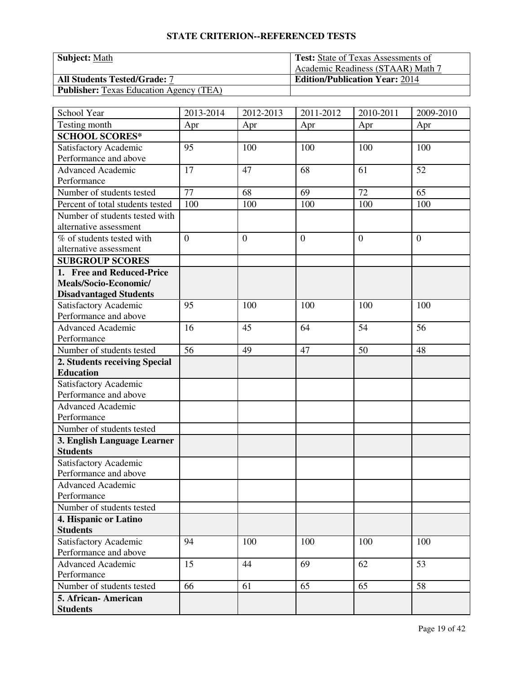| <b>Subject: Math</b>                           | <b>Test:</b> State of Texas Assessments of |
|------------------------------------------------|--------------------------------------------|
|                                                | Academic Readiness (STAAR) Math 7          |
| <b>All Students Tested/Grade: 7</b>            | <b>Edition/Publication Year: 2014</b>      |
| <b>Publisher:</b> Texas Education Agency (TEA) |                                            |

| School Year                             | 2013-2014      | 2012-2013        | 2011-2012      | 2010-2011      | 2009-2010      |
|-----------------------------------------|----------------|------------------|----------------|----------------|----------------|
| Testing month                           | Apr            | Apr              | Apr            | Apr            | Apr            |
| <b>SCHOOL SCORES*</b>                   |                |                  |                |                |                |
| Satisfactory Academic                   | 95             | 100              | 100            | 100            | 100            |
| Performance and above                   |                |                  |                |                |                |
| Advanced Academic                       | 17             | 47               | 68             | 61             | 52             |
| Performance                             |                |                  |                |                |                |
| Number of students tested               | 77             | 68               | 69             | 72             | 65             |
| Percent of total students tested        | 100            | 100              | 100            | 100            | 100            |
| Number of students tested with          |                |                  |                |                |                |
| alternative assessment                  |                |                  |                |                |                |
| $\overline{\%}$ of students tested with | $\overline{0}$ | $\boldsymbol{0}$ | $\overline{0}$ | $\overline{0}$ | $\overline{0}$ |
| alternative assessment                  |                |                  |                |                |                |
| <b>SUBGROUP SCORES</b>                  |                |                  |                |                |                |
| 1. Free and Reduced-Price               |                |                  |                |                |                |
| Meals/Socio-Economic/                   |                |                  |                |                |                |
| <b>Disadvantaged Students</b>           |                |                  |                |                |                |
| Satisfactory Academic                   | 95             | 100              | 100            | 100            | 100            |
| Performance and above                   |                |                  |                |                |                |
| <b>Advanced Academic</b>                | 16             | 45               | 64             | 54             | 56             |
| Performance                             |                |                  |                |                |                |
| Number of students tested               | 56             | 49               | 47             | 50             | 48             |
| 2. Students receiving Special           |                |                  |                |                |                |
| <b>Education</b>                        |                |                  |                |                |                |
| Satisfactory Academic                   |                |                  |                |                |                |
| Performance and above                   |                |                  |                |                |                |
| <b>Advanced Academic</b>                |                |                  |                |                |                |
| Performance                             |                |                  |                |                |                |
| Number of students tested               |                |                  |                |                |                |
| 3. English Language Learner             |                |                  |                |                |                |
| <b>Students</b>                         |                |                  |                |                |                |
| Satisfactory Academic                   |                |                  |                |                |                |
| Performance and above                   |                |                  |                |                |                |
| <b>Advanced Academic</b>                |                |                  |                |                |                |
| Performance                             |                |                  |                |                |                |
| Number of students tested               |                |                  |                |                |                |
| 4. Hispanic or Latino                   |                |                  |                |                |                |
| <b>Students</b>                         |                |                  |                |                |                |
| Satisfactory Academic                   | 94             | 100              | 100            | 100            | 100            |
| Performance and above                   |                |                  |                |                |                |
| <b>Advanced Academic</b>                | 15             | 44               | 69             | 62             | 53             |
| Performance                             |                |                  |                |                |                |
| Number of students tested               | 66             | 61               | 65             | 65             | 58             |
| 5. African-American                     |                |                  |                |                |                |
| <b>Students</b>                         |                |                  |                |                |                |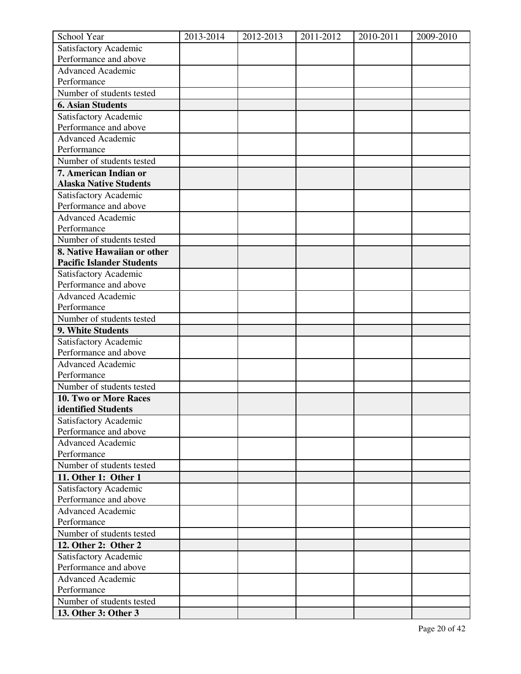| School Year                                    | 2013-2014 | 2012-2013 | 2011-2012 | 2010-2011 | 2009-2010 |
|------------------------------------------------|-----------|-----------|-----------|-----------|-----------|
| Satisfactory Academic                          |           |           |           |           |           |
| Performance and above                          |           |           |           |           |           |
| <b>Advanced Academic</b>                       |           |           |           |           |           |
| Performance                                    |           |           |           |           |           |
| Number of students tested                      |           |           |           |           |           |
| <b>6. Asian Students</b>                       |           |           |           |           |           |
| Satisfactory Academic                          |           |           |           |           |           |
| Performance and above                          |           |           |           |           |           |
| <b>Advanced Academic</b>                       |           |           |           |           |           |
| Performance                                    |           |           |           |           |           |
| Number of students tested                      |           |           |           |           |           |
| 7. American Indian or                          |           |           |           |           |           |
| <b>Alaska Native Students</b>                  |           |           |           |           |           |
| Satisfactory Academic                          |           |           |           |           |           |
| Performance and above                          |           |           |           |           |           |
| <b>Advanced Academic</b>                       |           |           |           |           |           |
| Performance                                    |           |           |           |           |           |
| Number of students tested                      |           |           |           |           |           |
| 8. Native Hawaiian or other                    |           |           |           |           |           |
| <b>Pacific Islander Students</b>               |           |           |           |           |           |
| Satisfactory Academic<br>Performance and above |           |           |           |           |           |
| <b>Advanced Academic</b>                       |           |           |           |           |           |
| Performance                                    |           |           |           |           |           |
| Number of students tested                      |           |           |           |           |           |
| 9. White Students                              |           |           |           |           |           |
| Satisfactory Academic                          |           |           |           |           |           |
| Performance and above                          |           |           |           |           |           |
| <b>Advanced Academic</b>                       |           |           |           |           |           |
| Performance                                    |           |           |           |           |           |
| Number of students tested                      |           |           |           |           |           |
| 10. Two or More Races                          |           |           |           |           |           |
| identified Students                            |           |           |           |           |           |
| Satisfactory Academic                          |           |           |           |           |           |
| Performance and above                          |           |           |           |           |           |
| <b>Advanced Academic</b>                       |           |           |           |           |           |
| Performance                                    |           |           |           |           |           |
| Number of students tested                      |           |           |           |           |           |
| 11. Other 1: Other 1                           |           |           |           |           |           |
| Satisfactory Academic                          |           |           |           |           |           |
| Performance and above                          |           |           |           |           |           |
| <b>Advanced Academic</b>                       |           |           |           |           |           |
| Performance                                    |           |           |           |           |           |
| Number of students tested                      |           |           |           |           |           |
| 12. Other 2: Other 2                           |           |           |           |           |           |
| Satisfactory Academic                          |           |           |           |           |           |
| Performance and above                          |           |           |           |           |           |
| <b>Advanced Academic</b>                       |           |           |           |           |           |
| Performance                                    |           |           |           |           |           |
| Number of students tested                      |           |           |           |           |           |
| 13. Other 3: Other 3                           |           |           |           |           |           |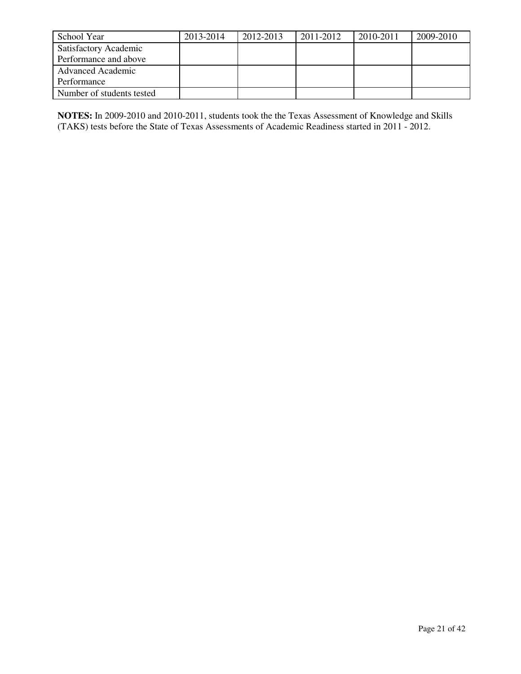| School Year               | 2013-2014 | 2012-2013 | 2011-2012 | 2010-2011 | 2009-2010 |
|---------------------------|-----------|-----------|-----------|-----------|-----------|
| Satisfactory Academic     |           |           |           |           |           |
| Performance and above     |           |           |           |           |           |
| <b>Advanced Academic</b>  |           |           |           |           |           |
| Performance               |           |           |           |           |           |
| Number of students tested |           |           |           |           |           |

**NOTES:** In 2009-2010 and 2010-2011, students took the the Texas Assessment of Knowledge and Skills (TAKS) tests before the State of Texas Assessments of Academic Readiness started in 2011 - 2012.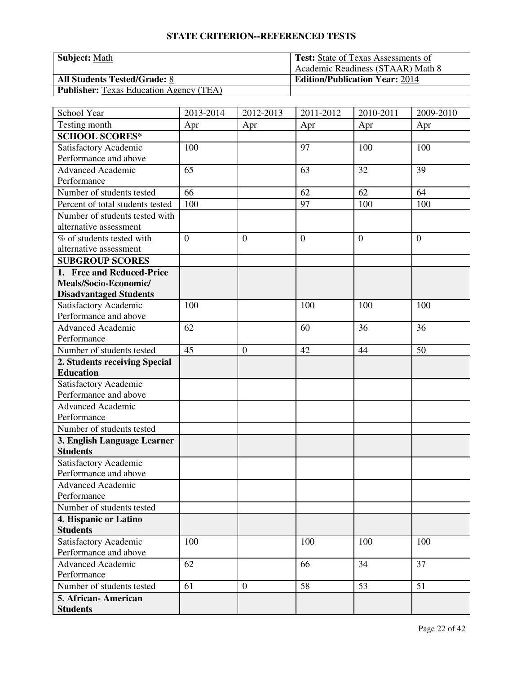| <b>Subject: Math</b>                           | <b>Test:</b> State of Texas Assessments of |
|------------------------------------------------|--------------------------------------------|
|                                                | Academic Readiness (STAAR) Math 8          |
| <b>All Students Tested/Grade: 8</b>            | <b>Edition/Publication Year: 2014</b>      |
| <b>Publisher:</b> Texas Education Agency (TEA) |                                            |

| School Year                             | 2013-2014      | 2012-2013      | 2011-2012      | 2010-2011      | 2009-2010      |
|-----------------------------------------|----------------|----------------|----------------|----------------|----------------|
| Testing month                           | Apr            | Apr            | Apr            | Apr            | Apr            |
| <b>SCHOOL SCORES*</b>                   |                |                |                |                |                |
| Satisfactory Academic                   | 100            |                | 97             | 100            | 100            |
| Performance and above                   |                |                |                |                |                |
| <b>Advanced Academic</b>                | 65             |                | 63             | 32             | 39             |
| Performance                             |                |                |                |                |                |
| Number of students tested               | 66             |                | 62             | 62             | 64             |
| Percent of total students tested        | 100            |                | 97             | 100            | 100            |
| Number of students tested with          |                |                |                |                |                |
| alternative assessment                  |                |                |                |                |                |
| $\overline{\%}$ of students tested with | $\overline{0}$ | $\mathbf{0}$   | $\overline{0}$ | $\overline{0}$ | $\overline{0}$ |
| alternative assessment                  |                |                |                |                |                |
| <b>SUBGROUP SCORES</b>                  |                |                |                |                |                |
| 1. Free and Reduced-Price               |                |                |                |                |                |
| Meals/Socio-Economic/                   |                |                |                |                |                |
| <b>Disadvantaged Students</b>           |                |                |                |                |                |
| Satisfactory Academic                   | 100            |                | 100            | 100            | 100            |
| Performance and above                   |                |                |                |                |                |
| <b>Advanced Academic</b>                | 62             |                | 60             | 36             | 36             |
| Performance                             |                |                |                |                |                |
| Number of students tested               | 45             | $\overline{0}$ | 42             | 44             | 50             |
| 2. Students receiving Special           |                |                |                |                |                |
| <b>Education</b>                        |                |                |                |                |                |
| Satisfactory Academic                   |                |                |                |                |                |
| Performance and above                   |                |                |                |                |                |
| <b>Advanced Academic</b>                |                |                |                |                |                |
| Performance                             |                |                |                |                |                |
| Number of students tested               |                |                |                |                |                |
| 3. English Language Learner             |                |                |                |                |                |
| <b>Students</b>                         |                |                |                |                |                |
| Satisfactory Academic                   |                |                |                |                |                |
| Performance and above                   |                |                |                |                |                |
| Advanced Academic                       |                |                |                |                |                |
| Performance                             |                |                |                |                |                |
| Number of students tested               |                |                |                |                |                |
| 4. Hispanic or Latino                   |                |                |                |                |                |
| <b>Students</b>                         |                |                |                |                |                |
| Satisfactory Academic                   | 100            |                | 100            | 100            | 100            |
| Performance and above                   |                |                |                |                |                |
| Advanced Academic                       | 62             |                | 66             | 34             | 37             |
| Performance                             |                |                |                |                |                |
| Number of students tested               | 61             | $\mathbf{0}$   | 58             | 53             | 51             |
| 5. African-American                     |                |                |                |                |                |
| <b>Students</b>                         |                |                |                |                |                |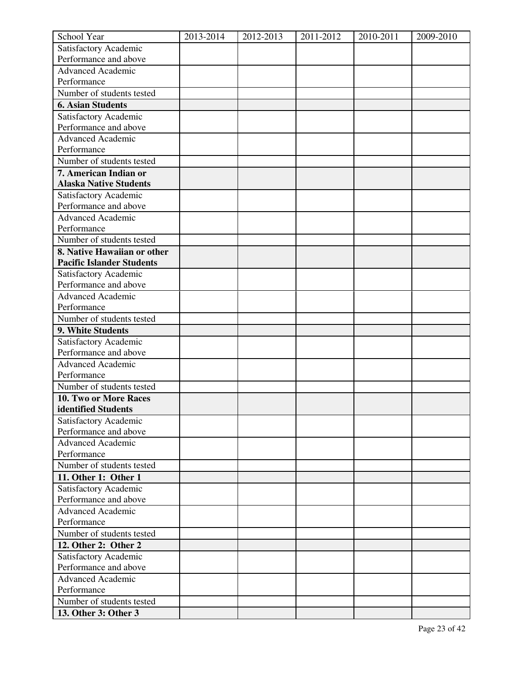| School Year                                    | 2013-2014 | 2012-2013 | 2011-2012 | 2010-2011 | 2009-2010 |
|------------------------------------------------|-----------|-----------|-----------|-----------|-----------|
| Satisfactory Academic                          |           |           |           |           |           |
| Performance and above                          |           |           |           |           |           |
| <b>Advanced Academic</b>                       |           |           |           |           |           |
| Performance                                    |           |           |           |           |           |
| Number of students tested                      |           |           |           |           |           |
| <b>6. Asian Students</b>                       |           |           |           |           |           |
| Satisfactory Academic                          |           |           |           |           |           |
| Performance and above                          |           |           |           |           |           |
| <b>Advanced Academic</b>                       |           |           |           |           |           |
| Performance                                    |           |           |           |           |           |
| Number of students tested                      |           |           |           |           |           |
| 7. American Indian or                          |           |           |           |           |           |
| <b>Alaska Native Students</b>                  |           |           |           |           |           |
| Satisfactory Academic                          |           |           |           |           |           |
| Performance and above                          |           |           |           |           |           |
| <b>Advanced Academic</b>                       |           |           |           |           |           |
| Performance                                    |           |           |           |           |           |
| Number of students tested                      |           |           |           |           |           |
| 8. Native Hawaiian or other                    |           |           |           |           |           |
| <b>Pacific Islander Students</b>               |           |           |           |           |           |
| Satisfactory Academic<br>Performance and above |           |           |           |           |           |
| <b>Advanced Academic</b>                       |           |           |           |           |           |
| Performance                                    |           |           |           |           |           |
| Number of students tested                      |           |           |           |           |           |
| 9. White Students                              |           |           |           |           |           |
| Satisfactory Academic                          |           |           |           |           |           |
| Performance and above                          |           |           |           |           |           |
| <b>Advanced Academic</b>                       |           |           |           |           |           |
| Performance                                    |           |           |           |           |           |
| Number of students tested                      |           |           |           |           |           |
| 10. Two or More Races                          |           |           |           |           |           |
| identified Students                            |           |           |           |           |           |
| Satisfactory Academic                          |           |           |           |           |           |
| Performance and above                          |           |           |           |           |           |
| <b>Advanced Academic</b>                       |           |           |           |           |           |
| Performance                                    |           |           |           |           |           |
| Number of students tested                      |           |           |           |           |           |
| 11. Other 1: Other 1                           |           |           |           |           |           |
| Satisfactory Academic                          |           |           |           |           |           |
| Performance and above                          |           |           |           |           |           |
| <b>Advanced Academic</b>                       |           |           |           |           |           |
| Performance                                    |           |           |           |           |           |
| Number of students tested                      |           |           |           |           |           |
| 12. Other 2: Other 2                           |           |           |           |           |           |
| Satisfactory Academic                          |           |           |           |           |           |
| Performance and above                          |           |           |           |           |           |
| <b>Advanced Academic</b>                       |           |           |           |           |           |
| Performance                                    |           |           |           |           |           |
| Number of students tested                      |           |           |           |           |           |
| 13. Other 3: Other 3                           |           |           |           |           |           |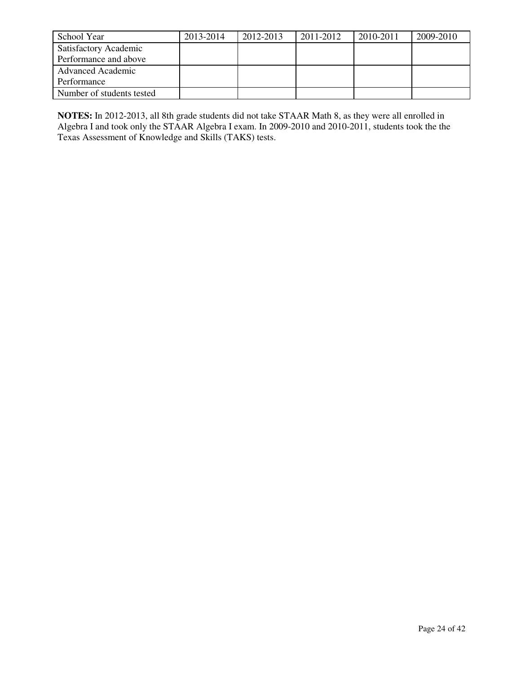| School Year               | 2013-2014 | 2012-2013 | 2011-2012 | 2010-2011 | 2009-2010 |
|---------------------------|-----------|-----------|-----------|-----------|-----------|
| Satisfactory Academic     |           |           |           |           |           |
| Performance and above     |           |           |           |           |           |
| <b>Advanced Academic</b>  |           |           |           |           |           |
| Performance               |           |           |           |           |           |
| Number of students tested |           |           |           |           |           |

**NOTES:** In 2012-2013, all 8th grade students did not take STAAR Math 8, as they were all enrolled in Algebra I and took only the STAAR Algebra I exam. In 2009-2010 and 2010-2011, students took the the Texas Assessment of Knowledge and Skills (TAKS) tests.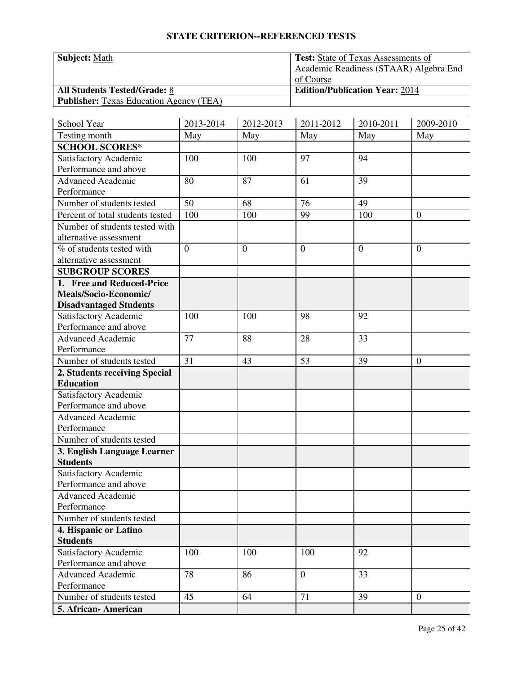| <b>Subject:</b> Math                           | <b>Test:</b> State of Texas Assessments of |
|------------------------------------------------|--------------------------------------------|
|                                                | Academic Readiness (STAAR) Algebra End     |
|                                                | of Course                                  |
| <b>All Students Tested/Grade: 8</b>            | <b>Edition/Publication Year: 2014</b>      |
| <b>Publisher:</b> Texas Education Agency (TEA) |                                            |

| School Year                      | 2013-2014      | 2012-2013    | 2011-2012      | 2010-2011    | 2009-2010        |
|----------------------------------|----------------|--------------|----------------|--------------|------------------|
| Testing month                    | May            | May          | May            | May          | May              |
| <b>SCHOOL SCORES*</b>            |                |              |                |              |                  |
| Satisfactory Academic            | 100            | 100          | 97             | 94           |                  |
| Performance and above            |                |              |                |              |                  |
| <b>Advanced Academic</b>         | 80             | 87           | 61             | 39           |                  |
| Performance                      |                |              |                |              |                  |
| Number of students tested        | 50             | 68           | 76             | 49           |                  |
| Percent of total students tested | 100            | 100          | 99             | 100          | $\overline{0}$   |
| Number of students tested with   |                |              |                |              |                  |
| alternative assessment           |                |              |                |              |                  |
| % of students tested with        | $\overline{0}$ | $\mathbf{0}$ | $\mathbf{0}$   | $\mathbf{0}$ | $\boldsymbol{0}$ |
| alternative assessment           |                |              |                |              |                  |
| <b>SUBGROUP SCORES</b>           |                |              |                |              |                  |
| 1. Free and Reduced-Price        |                |              |                |              |                  |
| Meals/Socio-Economic/            |                |              |                |              |                  |
| <b>Disadvantaged Students</b>    |                |              |                |              |                  |
| Satisfactory Academic            | 100            | 100          | 98             | 92           |                  |
| Performance and above            |                |              |                |              |                  |
| <b>Advanced Academic</b>         | 77             | 88           | 28             | 33           |                  |
| Performance                      |                |              |                |              |                  |
| Number of students tested        | 31             | 43           | 53             | 39           | $\boldsymbol{0}$ |
| 2. Students receiving Special    |                |              |                |              |                  |
| <b>Education</b>                 |                |              |                |              |                  |
| Satisfactory Academic            |                |              |                |              |                  |
| Performance and above            |                |              |                |              |                  |
| <b>Advanced Academic</b>         |                |              |                |              |                  |
| Performance                      |                |              |                |              |                  |
| Number of students tested        |                |              |                |              |                  |
| 3. English Language Learner      |                |              |                |              |                  |
| <b>Students</b>                  |                |              |                |              |                  |
| Satisfactory Academic            |                |              |                |              |                  |
| Performance and above            |                |              |                |              |                  |
| <b>Advanced Academic</b>         |                |              |                |              |                  |
| Performance                      |                |              |                |              |                  |
| Number of students tested        |                |              |                |              |                  |
| 4. Hispanic or Latino            |                |              |                |              |                  |
| <b>Students</b>                  |                |              |                |              |                  |
| Satisfactory Academic            | 100            | 100          | 100            | 92           |                  |
| Performance and above            |                |              |                |              |                  |
| <b>Advanced Academic</b>         | 78             | 86           | $\overline{0}$ | 33           |                  |
| Performance                      |                |              |                |              |                  |
| Number of students tested        | 45             | 64           | 71             | 39           | $\overline{0}$   |
| 5. African- American             |                |              |                |              |                  |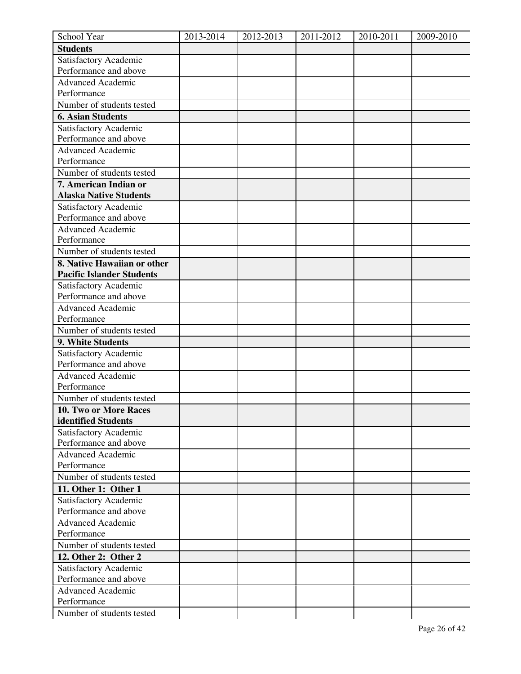| School Year                                    | 2013-2014 | 2012-2013 | 2011-2012 | 2010-2011 | 2009-2010 |
|------------------------------------------------|-----------|-----------|-----------|-----------|-----------|
| <b>Students</b>                                |           |           |           |           |           |
| Satisfactory Academic                          |           |           |           |           |           |
| Performance and above                          |           |           |           |           |           |
| <b>Advanced Academic</b>                       |           |           |           |           |           |
| Performance                                    |           |           |           |           |           |
| Number of students tested                      |           |           |           |           |           |
| <b>6. Asian Students</b>                       |           |           |           |           |           |
| Satisfactory Academic                          |           |           |           |           |           |
| Performance and above                          |           |           |           |           |           |
| <b>Advanced Academic</b>                       |           |           |           |           |           |
| Performance                                    |           |           |           |           |           |
| Number of students tested                      |           |           |           |           |           |
| 7. American Indian or                          |           |           |           |           |           |
| <b>Alaska Native Students</b>                  |           |           |           |           |           |
| Satisfactory Academic                          |           |           |           |           |           |
| Performance and above                          |           |           |           |           |           |
| Advanced Academic                              |           |           |           |           |           |
| Performance                                    |           |           |           |           |           |
| Number of students tested                      |           |           |           |           |           |
| 8. Native Hawaiian or other                    |           |           |           |           |           |
| <b>Pacific Islander Students</b>               |           |           |           |           |           |
| Satisfactory Academic                          |           |           |           |           |           |
| Performance and above                          |           |           |           |           |           |
| <b>Advanced Academic</b>                       |           |           |           |           |           |
| Performance                                    |           |           |           |           |           |
| Number of students tested                      |           |           |           |           |           |
| 9. White Students                              |           |           |           |           |           |
| Satisfactory Academic                          |           |           |           |           |           |
| Performance and above                          |           |           |           |           |           |
| <b>Advanced Academic</b>                       |           |           |           |           |           |
| Performance                                    |           |           |           |           |           |
| Number of students tested                      |           |           |           |           |           |
| 10. Two or More Races                          |           |           |           |           |           |
| identified Students                            |           |           |           |           |           |
| Satisfactory Academic                          |           |           |           |           |           |
| Performance and above                          |           |           |           |           |           |
| Advanced Academic                              |           |           |           |           |           |
| Performance                                    |           |           |           |           |           |
| Number of students tested                      |           |           |           |           |           |
| 11. Other 1: Other 1                           |           |           |           |           |           |
| Satisfactory Academic<br>Performance and above |           |           |           |           |           |
|                                                |           |           |           |           |           |
| <b>Advanced Academic</b><br>Performance        |           |           |           |           |           |
| Number of students tested                      |           |           |           |           |           |
|                                                |           |           |           |           |           |
| 12. Other 2: Other 2                           |           |           |           |           |           |
| Satisfactory Academic<br>Performance and above |           |           |           |           |           |
| <b>Advanced Academic</b>                       |           |           |           |           |           |
| Performance                                    |           |           |           |           |           |
| Number of students tested                      |           |           |           |           |           |
|                                                |           |           |           |           |           |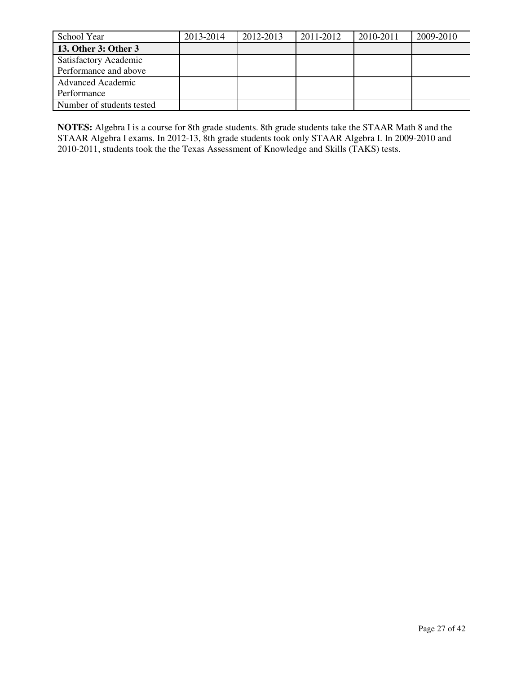| School Year               | 2013-2014 | 2012-2013 | 2011-2012 | 2010-2011 | 2009-2010 |
|---------------------------|-----------|-----------|-----------|-----------|-----------|
| 13. Other 3: Other 3      |           |           |           |           |           |
| Satisfactory Academic     |           |           |           |           |           |
| Performance and above     |           |           |           |           |           |
| <b>Advanced Academic</b>  |           |           |           |           |           |
| Performance               |           |           |           |           |           |
| Number of students tested |           |           |           |           |           |

**NOTES:** Algebra I is a course for 8th grade students. 8th grade students take the STAAR Math 8 and the STAAR Algebra I exams. In 2012-13, 8th grade students took only STAAR Algebra I. In 2009-2010 and 2010-2011, students took the the Texas Assessment of Knowledge and Skills (TAKS) tests.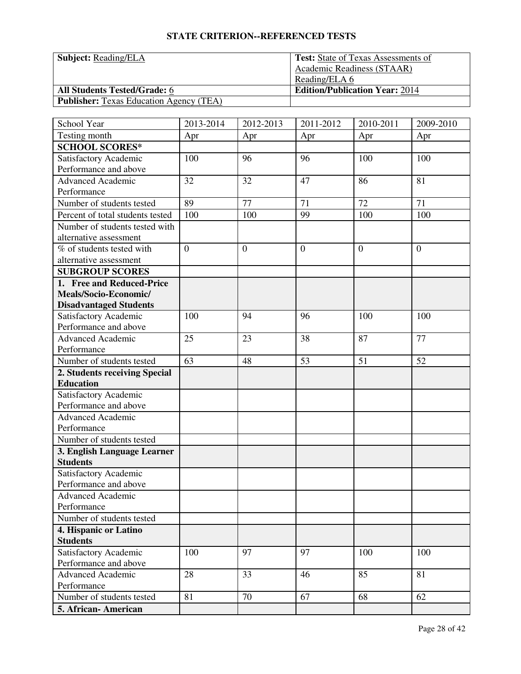**Subject: Reading/ELA** 

**All Students Tested/Grade: 6** 

**Publisher:** Texas Education Agency (TEA)

| Test: State of Texas Assessments of   |
|---------------------------------------|
| Academic Readiness (STAAR)            |
| Reading/ELA 6                         |
| <b>Edition/Publication Year: 2014</b> |
|                                       |

| School Year                      | 2013-2014      | 2012-2013      | 2011-2012      | 2010-2011 | 2009-2010      |
|----------------------------------|----------------|----------------|----------------|-----------|----------------|
| Testing month                    | Apr            | Apr            | Apr            | Apr       | Apr            |
| <b>SCHOOL SCORES*</b>            |                |                |                |           |                |
| Satisfactory Academic            | 100            | 96             | 96             | 100       | 100            |
| Performance and above            |                |                |                |           |                |
| <b>Advanced Academic</b>         | 32             | 32             | 47             | 86        | 81             |
| Performance                      |                |                |                |           |                |
| Number of students tested        | 89             | 77             | 71             | 72        | 71             |
| Percent of total students tested | 100            | 100            | 99             | 100       | 100            |
| Number of students tested with   |                |                |                |           |                |
| alternative assessment           |                |                |                |           |                |
| % of students tested with        | $\overline{0}$ | $\overline{0}$ | $\overline{0}$ | $\theta$  | $\overline{0}$ |
| alternative assessment           |                |                |                |           |                |
| <b>SUBGROUP SCORES</b>           |                |                |                |           |                |
| 1. Free and Reduced-Price        |                |                |                |           |                |
| Meals/Socio-Economic/            |                |                |                |           |                |
| <b>Disadvantaged Students</b>    |                |                |                |           |                |
| Satisfactory Academic            | 100            | 94             | 96             | 100       | 100            |
| Performance and above            |                |                |                |           |                |
| Advanced Academic                | 25             | 23             | 38             | 87        | 77             |
| Performance                      |                |                |                |           |                |
| Number of students tested        | 63             | 48             | 53             | 51        | 52             |
| 2. Students receiving Special    |                |                |                |           |                |
| <b>Education</b>                 |                |                |                |           |                |
| Satisfactory Academic            |                |                |                |           |                |
| Performance and above            |                |                |                |           |                |
| <b>Advanced Academic</b>         |                |                |                |           |                |
| Performance                      |                |                |                |           |                |
| Number of students tested        |                |                |                |           |                |
| 3. English Language Learner      |                |                |                |           |                |
| <b>Students</b>                  |                |                |                |           |                |
| Satisfactory Academic            |                |                |                |           |                |
| Performance and above            |                |                |                |           |                |
| <b>Advanced Academic</b>         |                |                |                |           |                |
| Performance                      |                |                |                |           |                |
| Number of students tested        |                |                |                |           |                |
| 4. Hispanic or Latino            |                |                |                |           |                |
| <b>Students</b>                  |                |                |                |           |                |
| Satisfactory Academic            | 100            | 97             | 97             | 100       | 100            |
| Performance and above            |                |                |                |           |                |
| <b>Advanced Academic</b>         | 28             | 33             | 46             | 85        | 81             |
| Performance                      |                |                |                |           |                |
| Number of students tested        | 81             | 70             | 67             | 68        | 62             |
| 5. African-American              |                |                |                |           |                |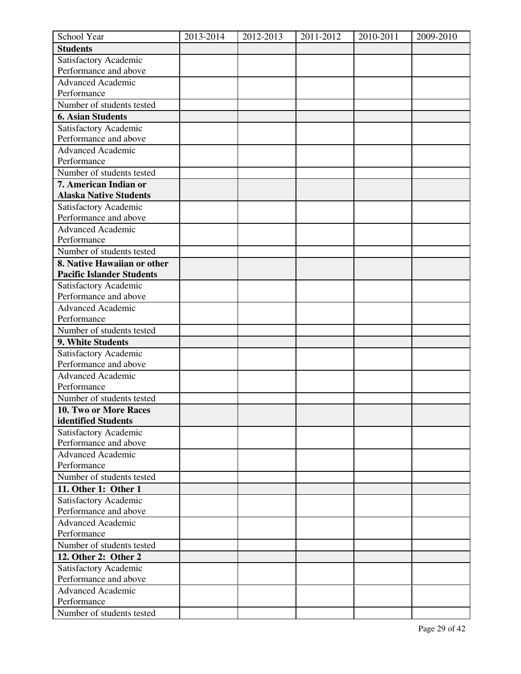| School Year                                    | 2013-2014 | 2012-2013 | 2011-2012 | 2010-2011 | 2009-2010 |
|------------------------------------------------|-----------|-----------|-----------|-----------|-----------|
| <b>Students</b>                                |           |           |           |           |           |
| Satisfactory Academic                          |           |           |           |           |           |
| Performance and above                          |           |           |           |           |           |
| <b>Advanced Academic</b>                       |           |           |           |           |           |
| Performance                                    |           |           |           |           |           |
| Number of students tested                      |           |           |           |           |           |
| <b>6. Asian Students</b>                       |           |           |           |           |           |
| Satisfactory Academic                          |           |           |           |           |           |
| Performance and above                          |           |           |           |           |           |
| <b>Advanced Academic</b>                       |           |           |           |           |           |
| Performance                                    |           |           |           |           |           |
| Number of students tested                      |           |           |           |           |           |
| 7. American Indian or                          |           |           |           |           |           |
| <b>Alaska Native Students</b>                  |           |           |           |           |           |
| Satisfactory Academic                          |           |           |           |           |           |
| Performance and above                          |           |           |           |           |           |
| Advanced Academic                              |           |           |           |           |           |
| Performance                                    |           |           |           |           |           |
| Number of students tested                      |           |           |           |           |           |
| 8. Native Hawaiian or other                    |           |           |           |           |           |
| <b>Pacific Islander Students</b>               |           |           |           |           |           |
| Satisfactory Academic                          |           |           |           |           |           |
| Performance and above                          |           |           |           |           |           |
| <b>Advanced Academic</b>                       |           |           |           |           |           |
| Performance                                    |           |           |           |           |           |
| Number of students tested                      |           |           |           |           |           |
| 9. White Students                              |           |           |           |           |           |
| Satisfactory Academic                          |           |           |           |           |           |
| Performance and above                          |           |           |           |           |           |
| <b>Advanced Academic</b>                       |           |           |           |           |           |
| Performance                                    |           |           |           |           |           |
| Number of students tested                      |           |           |           |           |           |
| 10. Two or More Races                          |           |           |           |           |           |
| identified Students                            |           |           |           |           |           |
| Satisfactory Academic                          |           |           |           |           |           |
| Performance and above                          |           |           |           |           |           |
| Advanced Academic                              |           |           |           |           |           |
| Performance                                    |           |           |           |           |           |
| Number of students tested                      |           |           |           |           |           |
| 11. Other 1: Other 1                           |           |           |           |           |           |
| Satisfactory Academic<br>Performance and above |           |           |           |           |           |
|                                                |           |           |           |           |           |
| <b>Advanced Academic</b><br>Performance        |           |           |           |           |           |
| Number of students tested                      |           |           |           |           |           |
|                                                |           |           |           |           |           |
| 12. Other 2: Other 2                           |           |           |           |           |           |
| Satisfactory Academic<br>Performance and above |           |           |           |           |           |
| <b>Advanced Academic</b>                       |           |           |           |           |           |
| Performance                                    |           |           |           |           |           |
| Number of students tested                      |           |           |           |           |           |
|                                                |           |           |           |           |           |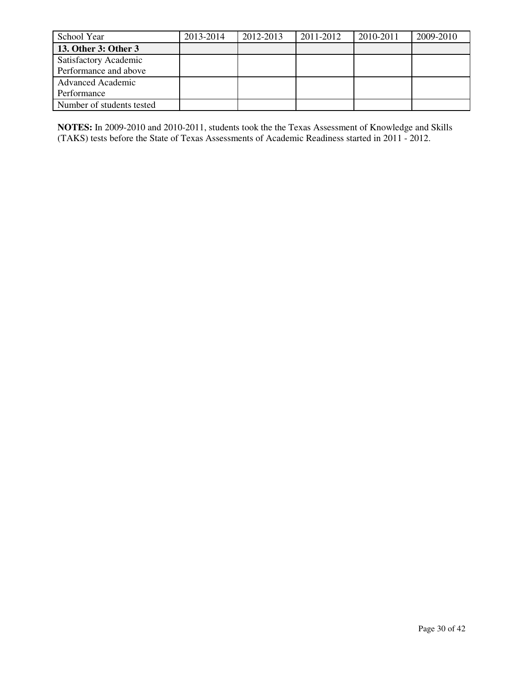| School Year                  | 2013-2014 | 2012-2013 | 2011-2012 | 2010-2011 | 2009-2010 |
|------------------------------|-----------|-----------|-----------|-----------|-----------|
| 13. Other 3: Other 3         |           |           |           |           |           |
| <b>Satisfactory Academic</b> |           |           |           |           |           |
| Performance and above        |           |           |           |           |           |
| <b>Advanced Academic</b>     |           |           |           |           |           |
| Performance                  |           |           |           |           |           |
| Number of students tested    |           |           |           |           |           |

**NOTES:** In 2009-2010 and 2010-2011, students took the the Texas Assessment of Knowledge and Skills (TAKS) tests before the State of Texas Assessments of Academic Readiness started in 2011 - 2012.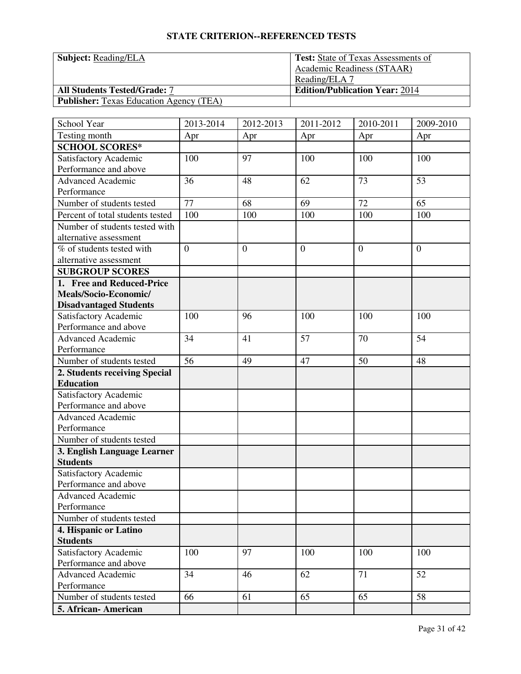**Subject: Reading/ELA** 

**All Students Tested/Grade: 7** 

**Publisher:** Texas Education Agency (TEA)

| Test: State of Texas Assessments of   |
|---------------------------------------|
| Academic Readiness (STAAR)            |
| Reading/ELA 7                         |
| <b>Edition/Publication Year: 2014</b> |
|                                       |

| School Year                                       | 2013-2014      | 2012-2013        | 2011-2012      | 2010-2011 | 2009-2010      |
|---------------------------------------------------|----------------|------------------|----------------|-----------|----------------|
| Testing month                                     | Apr            | Apr              | Apr            | Apr       | Apr            |
| <b>SCHOOL SCORES*</b>                             |                |                  |                |           |                |
| Satisfactory Academic                             | 100            | 97               | 100            | 100       | 100            |
| Performance and above                             |                |                  |                |           |                |
| <b>Advanced Academic</b>                          | 36             | 48               | 62             | 73        | 53             |
| Performance                                       |                |                  |                |           |                |
| Number of students tested                         | 77             | 68               | 69             | 72        | 65             |
| Percent of total students tested                  | 100            | 100              | 100            | 100       | 100            |
| Number of students tested with                    |                |                  |                |           |                |
| alternative assessment                            |                |                  |                |           |                |
| % of students tested with                         | $\overline{0}$ | $\boldsymbol{0}$ | $\overline{0}$ | $\theta$  | $\overline{0}$ |
| alternative assessment                            |                |                  |                |           |                |
| <b>SUBGROUP SCORES</b>                            |                |                  |                |           |                |
| 1. Free and Reduced-Price                         |                |                  |                |           |                |
| Meals/Socio-Economic/                             |                |                  |                |           |                |
| <b>Disadvantaged Students</b>                     |                |                  |                |           |                |
| Satisfactory Academic                             | 100            | 96               | 100            | 100       | 100            |
| Performance and above                             |                |                  |                |           |                |
| Advanced Academic                                 | 34             | 41               | 57             | 70        | 54             |
| Performance                                       |                |                  |                |           |                |
| Number of students tested                         | 56             | 49               | 47             | 50        | 48             |
| 2. Students receiving Special<br><b>Education</b> |                |                  |                |           |                |
|                                                   |                |                  |                |           |                |
| Satisfactory Academic<br>Performance and above    |                |                  |                |           |                |
| <b>Advanced Academic</b>                          |                |                  |                |           |                |
| Performance                                       |                |                  |                |           |                |
| Number of students tested                         |                |                  |                |           |                |
| 3. English Language Learner                       |                |                  |                |           |                |
| <b>Students</b>                                   |                |                  |                |           |                |
| Satisfactory Academic                             |                |                  |                |           |                |
| Performance and above                             |                |                  |                |           |                |
| <b>Advanced Academic</b>                          |                |                  |                |           |                |
| Performance                                       |                |                  |                |           |                |
| Number of students tested                         |                |                  |                |           |                |
| 4. Hispanic or Latino                             |                |                  |                |           |                |
| <b>Students</b>                                   |                |                  |                |           |                |
| Satisfactory Academic                             | 100            | 97               | 100            | 100       | 100            |
| Performance and above                             |                |                  |                |           |                |
| <b>Advanced Academic</b>                          | 34             | 46               | 62             | 71        | 52             |
| Performance                                       |                |                  |                |           |                |
| Number of students tested                         | 66             | 61               | 65             | 65        | 58             |
| 5. African- American                              |                |                  |                |           |                |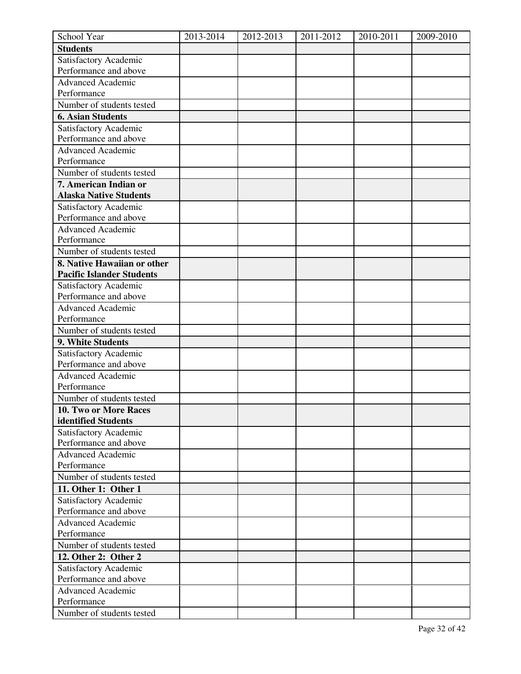| School Year                      | 2013-2014 | 2012-2013 | $2011 - 2012$ | 2010-2011 | 2009-2010 |
|----------------------------------|-----------|-----------|---------------|-----------|-----------|
| <b>Students</b>                  |           |           |               |           |           |
| Satisfactory Academic            |           |           |               |           |           |
| Performance and above            |           |           |               |           |           |
| <b>Advanced Academic</b>         |           |           |               |           |           |
| Performance                      |           |           |               |           |           |
| Number of students tested        |           |           |               |           |           |
| <b>6. Asian Students</b>         |           |           |               |           |           |
| Satisfactory Academic            |           |           |               |           |           |
| Performance and above            |           |           |               |           |           |
| <b>Advanced Academic</b>         |           |           |               |           |           |
| Performance                      |           |           |               |           |           |
| Number of students tested        |           |           |               |           |           |
| 7. American Indian or            |           |           |               |           |           |
| <b>Alaska Native Students</b>    |           |           |               |           |           |
| Satisfactory Academic            |           |           |               |           |           |
| Performance and above            |           |           |               |           |           |
| Advanced Academic                |           |           |               |           |           |
| Performance                      |           |           |               |           |           |
| Number of students tested        |           |           |               |           |           |
| 8. Native Hawaiian or other      |           |           |               |           |           |
| <b>Pacific Islander Students</b> |           |           |               |           |           |
| Satisfactory Academic            |           |           |               |           |           |
| Performance and above            |           |           |               |           |           |
| <b>Advanced Academic</b>         |           |           |               |           |           |
| Performance                      |           |           |               |           |           |
| Number of students tested        |           |           |               |           |           |
| 9. White Students                |           |           |               |           |           |
| Satisfactory Academic            |           |           |               |           |           |
| Performance and above            |           |           |               |           |           |
| <b>Advanced Academic</b>         |           |           |               |           |           |
| Performance                      |           |           |               |           |           |
| Number of students tested        |           |           |               |           |           |
| 10. Two or More Races            |           |           |               |           |           |
| identified Students              |           |           |               |           |           |
| Satisfactory Academic            |           |           |               |           |           |
| Performance and above            |           |           |               |           |           |
| <b>Advanced Academic</b>         |           |           |               |           |           |
| Performance                      |           |           |               |           |           |
| Number of students tested        |           |           |               |           |           |
| 11. Other 1: Other 1             |           |           |               |           |           |
| Satisfactory Academic            |           |           |               |           |           |
| Performance and above            |           |           |               |           |           |
| <b>Advanced Academic</b>         |           |           |               |           |           |
| Performance                      |           |           |               |           |           |
| Number of students tested        |           |           |               |           |           |
| 12. Other 2: Other 2             |           |           |               |           |           |
| Satisfactory Academic            |           |           |               |           |           |
| Performance and above            |           |           |               |           |           |
| <b>Advanced Academic</b>         |           |           |               |           |           |
| Performance                      |           |           |               |           |           |
| Number of students tested        |           |           |               |           |           |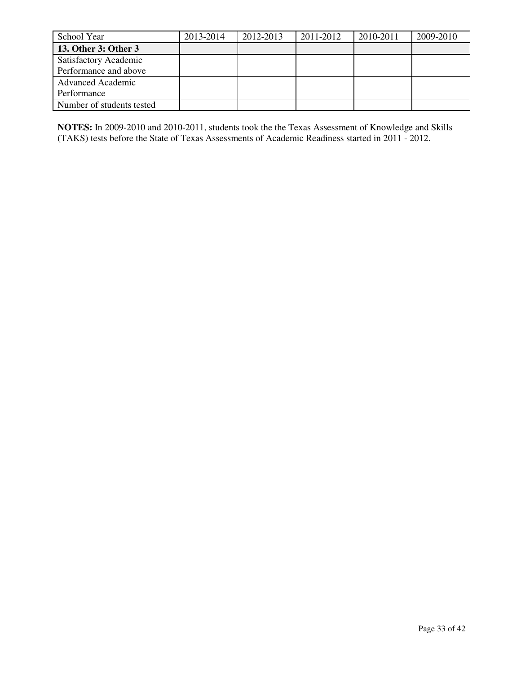| School Year                  | 2013-2014 | 2012-2013 | 2011-2012 | 2010-2011 | 2009-2010 |
|------------------------------|-----------|-----------|-----------|-----------|-----------|
| 13. Other 3: Other 3         |           |           |           |           |           |
| <b>Satisfactory Academic</b> |           |           |           |           |           |
| Performance and above        |           |           |           |           |           |
| <b>Advanced Academic</b>     |           |           |           |           |           |
| Performance                  |           |           |           |           |           |
| Number of students tested    |           |           |           |           |           |

**NOTES:** In 2009-2010 and 2010-2011, students took the the Texas Assessment of Knowledge and Skills (TAKS) tests before the State of Texas Assessments of Academic Readiness started in 2011 - 2012.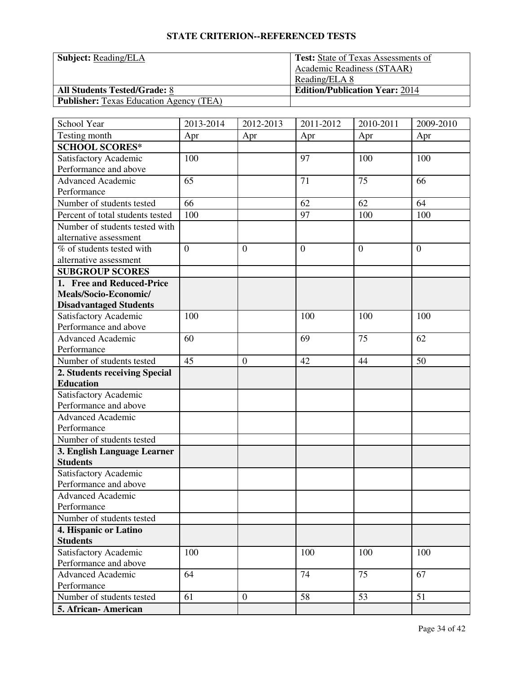**Subject: Reading/ELA** 

**All Students Tested/Grade: 8** 

**Publisher:** Texas Education Agency (TEA)

| <b>Test:</b> State of Texas Assessments of |
|--------------------------------------------|
| Academic Readiness (STAAR)                 |
| Reading/ELA 8                              |
| <b>Edition/Publication Year: 2014</b>      |
|                                            |

| School Year                                    | 2013-2014      | 2012-2013        | 2011-2012      | 2010-2011 | 2009-2010      |
|------------------------------------------------|----------------|------------------|----------------|-----------|----------------|
| Testing month                                  | Apr            | Apr              | Apr            | Apr       | Apr            |
| <b>SCHOOL SCORES*</b>                          |                |                  |                |           |                |
| Satisfactory Academic                          | 100            |                  | 97             | 100       | 100            |
| Performance and above                          |                |                  |                |           |                |
| <b>Advanced Academic</b>                       | 65             |                  | 71             | 75        | 66             |
| Performance                                    |                |                  |                |           |                |
| Number of students tested                      | 66             |                  | 62             | 62        | 64             |
| Percent of total students tested               | 100            |                  | 97             | 100       | 100            |
| Number of students tested with                 |                |                  |                |           |                |
| alternative assessment                         |                |                  |                |           |                |
| % of students tested with                      | $\overline{0}$ | $\overline{0}$   | $\overline{0}$ | $\theta$  | $\overline{0}$ |
| alternative assessment                         |                |                  |                |           |                |
| <b>SUBGROUP SCORES</b>                         |                |                  |                |           |                |
| 1. Free and Reduced-Price                      |                |                  |                |           |                |
| Meals/Socio-Economic/                          |                |                  |                |           |                |
| <b>Disadvantaged Students</b>                  |                |                  |                |           |                |
| Satisfactory Academic                          | 100            |                  | 100            | 100       | 100            |
| Performance and above                          |                |                  |                |           |                |
| Advanced Academic                              | 60             |                  | 69             | 75        | 62             |
| Performance                                    |                |                  |                |           |                |
| Number of students tested                      | 45             | $\mathbf{0}$     | 42             | 44        | 50             |
| 2. Students receiving Special                  |                |                  |                |           |                |
| <b>Education</b>                               |                |                  |                |           |                |
| Satisfactory Academic                          |                |                  |                |           |                |
| Performance and above                          |                |                  |                |           |                |
| <b>Advanced Academic</b>                       |                |                  |                |           |                |
| Performance                                    |                |                  |                |           |                |
| Number of students tested                      |                |                  |                |           |                |
| 3. English Language Learner                    |                |                  |                |           |                |
| <b>Students</b>                                |                |                  |                |           |                |
| Satisfactory Academic<br>Performance and above |                |                  |                |           |                |
|                                                |                |                  |                |           |                |
| <b>Advanced Academic</b><br>Performance        |                |                  |                |           |                |
| Number of students tested                      |                |                  |                |           |                |
| 4. Hispanic or Latino                          |                |                  |                |           |                |
| <b>Students</b>                                |                |                  |                |           |                |
| Satisfactory Academic                          | 100            |                  | 100            | 100       | 100            |
| Performance and above                          |                |                  |                |           |                |
| <b>Advanced Academic</b>                       | 64             |                  | 74             | 75        | 67             |
| Performance                                    |                |                  |                |           |                |
| Number of students tested                      | 61             | $\boldsymbol{0}$ | 58             | 53        | 51             |
| 5. African-American                            |                |                  |                |           |                |
|                                                |                |                  |                |           |                |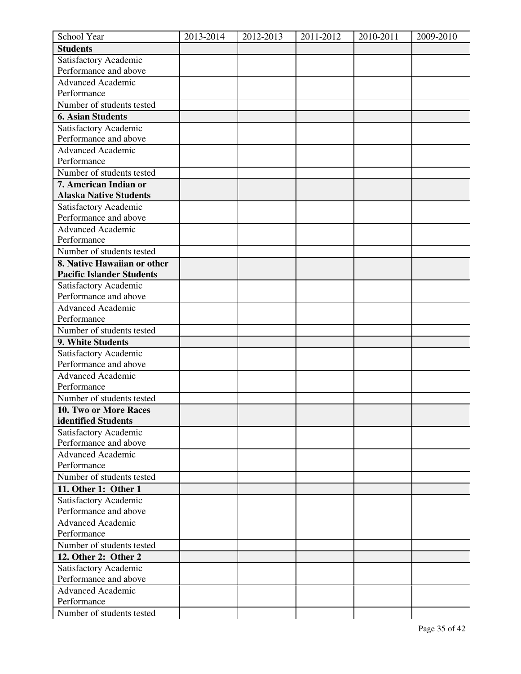| School Year                      | 2013-2014 | 2012-2013 | $2011 - 2012$ | 2010-2011 | 2009-2010 |
|----------------------------------|-----------|-----------|---------------|-----------|-----------|
| <b>Students</b>                  |           |           |               |           |           |
| Satisfactory Academic            |           |           |               |           |           |
| Performance and above            |           |           |               |           |           |
| <b>Advanced Academic</b>         |           |           |               |           |           |
| Performance                      |           |           |               |           |           |
| Number of students tested        |           |           |               |           |           |
| <b>6. Asian Students</b>         |           |           |               |           |           |
| Satisfactory Academic            |           |           |               |           |           |
| Performance and above            |           |           |               |           |           |
| <b>Advanced Academic</b>         |           |           |               |           |           |
| Performance                      |           |           |               |           |           |
| Number of students tested        |           |           |               |           |           |
| 7. American Indian or            |           |           |               |           |           |
| <b>Alaska Native Students</b>    |           |           |               |           |           |
| Satisfactory Academic            |           |           |               |           |           |
| Performance and above            |           |           |               |           |           |
| Advanced Academic                |           |           |               |           |           |
| Performance                      |           |           |               |           |           |
| Number of students tested        |           |           |               |           |           |
| 8. Native Hawaiian or other      |           |           |               |           |           |
| <b>Pacific Islander Students</b> |           |           |               |           |           |
| Satisfactory Academic            |           |           |               |           |           |
| Performance and above            |           |           |               |           |           |
| <b>Advanced Academic</b>         |           |           |               |           |           |
| Performance                      |           |           |               |           |           |
| Number of students tested        |           |           |               |           |           |
| 9. White Students                |           |           |               |           |           |
| Satisfactory Academic            |           |           |               |           |           |
| Performance and above            |           |           |               |           |           |
| <b>Advanced Academic</b>         |           |           |               |           |           |
| Performance                      |           |           |               |           |           |
| Number of students tested        |           |           |               |           |           |
| 10. Two or More Races            |           |           |               |           |           |
| identified Students              |           |           |               |           |           |
| Satisfactory Academic            |           |           |               |           |           |
| Performance and above            |           |           |               |           |           |
| <b>Advanced Academic</b>         |           |           |               |           |           |
| Performance                      |           |           |               |           |           |
| Number of students tested        |           |           |               |           |           |
| 11. Other 1: Other 1             |           |           |               |           |           |
| Satisfactory Academic            |           |           |               |           |           |
| Performance and above            |           |           |               |           |           |
| <b>Advanced Academic</b>         |           |           |               |           |           |
| Performance                      |           |           |               |           |           |
| Number of students tested        |           |           |               |           |           |
| 12. Other 2: Other 2             |           |           |               |           |           |
| Satisfactory Academic            |           |           |               |           |           |
| Performance and above            |           |           |               |           |           |
| <b>Advanced Academic</b>         |           |           |               |           |           |
| Performance                      |           |           |               |           |           |
| Number of students tested        |           |           |               |           |           |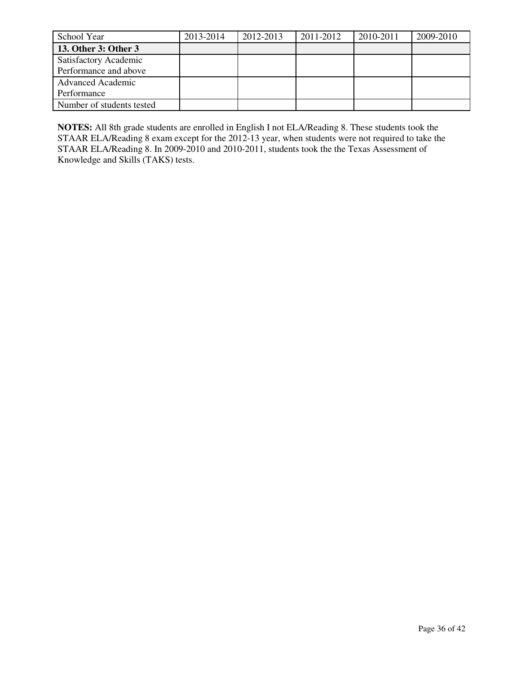| School Year               | 2013-2014 | 2012-2013 | 2011-2012 | 2010-2011 | 2009-2010 |
|---------------------------|-----------|-----------|-----------|-----------|-----------|
| 13. Other 3: Other 3      |           |           |           |           |           |
| Satisfactory Academic     |           |           |           |           |           |
| Performance and above     |           |           |           |           |           |
| <b>Advanced Academic</b>  |           |           |           |           |           |
| Performance               |           |           |           |           |           |
| Number of students tested |           |           |           |           |           |

**NOTES:** All 8th grade students are enrolled in English I not ELA/Reading 8. These students took the STAAR ELA/Reading 8 exam except for the 2012-13 year, when students were not required to take the STAAR ELA/Reading 8. In 2009-2010 and 2010-2011, students took the the Texas Assessment of Knowledge and Skills (TAKS) tests.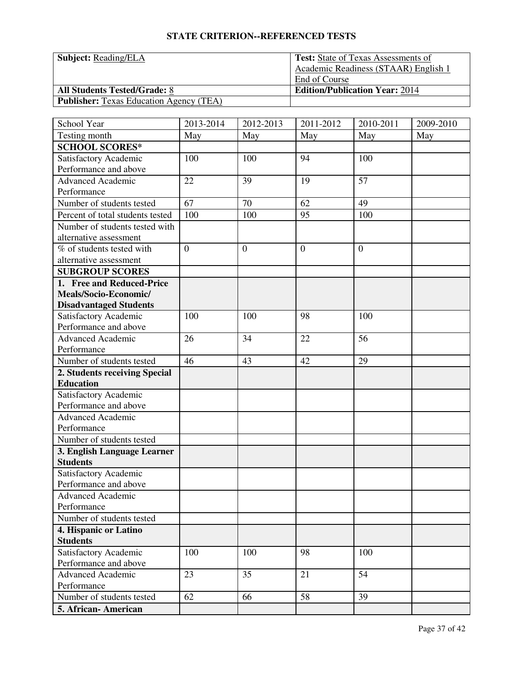| <b>Subject: Reading/ELA</b> |  |
|-----------------------------|--|
|                             |  |

**Publisher:** Texas Education Agency (TEA)

| <b>Subject: Reading/ELA</b>                   | <b>Test:</b> State of Texas Assessments of |
|-----------------------------------------------|--------------------------------------------|
|                                               | Academic Readiness (STAAR) English 1       |
|                                               | End of Course                              |
| <b>All Students Tested/Grade: 8</b>           | <b>Edition/Publication Year: 2014</b>      |
| <b>Publisher</b> Texas Education Agency (TFA) |                                            |

| 2013-2014      | 2012-2013                                | 2011-2012                          | 2010-2011                        | 2009-2010                          |
|----------------|------------------------------------------|------------------------------------|----------------------------------|------------------------------------|
| May            | May                                      | May                                | May                              | May                                |
|                |                                          |                                    |                                  |                                    |
| 100            | 100                                      | 94                                 | 100                              |                                    |
|                |                                          |                                    |                                  |                                    |
| 22             | 39                                       | 19                                 | 57                               |                                    |
|                |                                          |                                    |                                  |                                    |
|                | 70                                       | 62                                 | 49                               |                                    |
| 100            | 100                                      | 95                                 | 100                              |                                    |
|                |                                          |                                    |                                  |                                    |
|                |                                          |                                    |                                  |                                    |
| $\overline{0}$ | $\overline{0}$                           | $\overline{0}$                     | $\overline{0}$                   |                                    |
|                |                                          |                                    |                                  |                                    |
|                |                                          |                                    |                                  |                                    |
|                |                                          |                                    |                                  |                                    |
|                |                                          |                                    |                                  |                                    |
|                |                                          |                                    |                                  |                                    |
|                |                                          |                                    |                                  |                                    |
|                |                                          |                                    |                                  |                                    |
|                |                                          |                                    |                                  |                                    |
|                |                                          |                                    |                                  |                                    |
|                |                                          |                                    |                                  |                                    |
|                |                                          |                                    |                                  |                                    |
|                |                                          |                                    |                                  |                                    |
|                |                                          |                                    |                                  |                                    |
|                |                                          |                                    |                                  |                                    |
|                |                                          |                                    |                                  |                                    |
|                |                                          |                                    |                                  |                                    |
|                |                                          |                                    |                                  |                                    |
|                |                                          |                                    |                                  |                                    |
|                |                                          |                                    |                                  |                                    |
|                |                                          |                                    |                                  |                                    |
|                |                                          |                                    |                                  |                                    |
|                |                                          |                                    |                                  |                                    |
|                |                                          |                                    |                                  |                                    |
|                |                                          |                                    |                                  |                                    |
|                |                                          |                                    |                                  |                                    |
|                |                                          |                                    |                                  |                                    |
|                |                                          |                                    |                                  |                                    |
|                |                                          |                                    |                                  |                                    |
|                |                                          |                                    |                                  |                                    |
|                |                                          |                                    |                                  |                                    |
|                |                                          |                                    |                                  |                                    |
|                | 67<br>100<br>26<br>46<br>100<br>23<br>62 | 100<br>34<br>43<br>100<br>35<br>66 | 98<br>22<br>42<br>98<br>21<br>58 | 100<br>56<br>29<br>100<br>54<br>39 |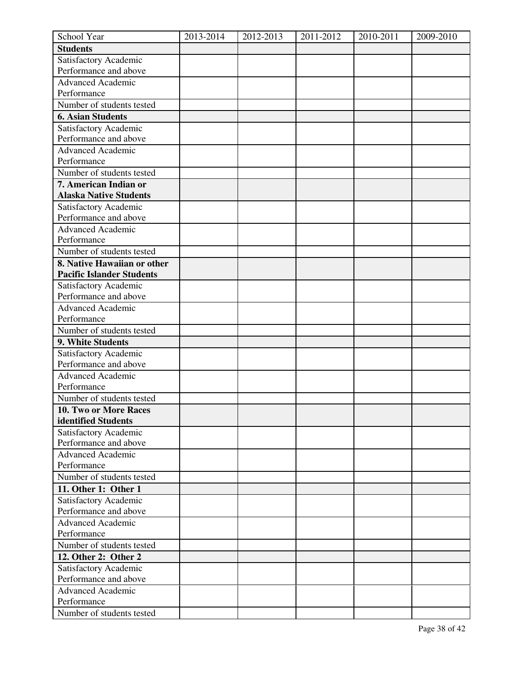| School Year                      | 2013-2014 | 2012-2013 | 2011-2012 | 2010-2011 | 2009-2010 |
|----------------------------------|-----------|-----------|-----------|-----------|-----------|
| <b>Students</b>                  |           |           |           |           |           |
| Satisfactory Academic            |           |           |           |           |           |
| Performance and above            |           |           |           |           |           |
| <b>Advanced Academic</b>         |           |           |           |           |           |
| Performance                      |           |           |           |           |           |
| Number of students tested        |           |           |           |           |           |
| <b>6. Asian Students</b>         |           |           |           |           |           |
| Satisfactory Academic            |           |           |           |           |           |
| Performance and above            |           |           |           |           |           |
| <b>Advanced Academic</b>         |           |           |           |           |           |
| Performance                      |           |           |           |           |           |
| Number of students tested        |           |           |           |           |           |
| 7. American Indian or            |           |           |           |           |           |
| <b>Alaska Native Students</b>    |           |           |           |           |           |
| Satisfactory Academic            |           |           |           |           |           |
| Performance and above            |           |           |           |           |           |
| Advanced Academic                |           |           |           |           |           |
| Performance                      |           |           |           |           |           |
| Number of students tested        |           |           |           |           |           |
| 8. Native Hawaiian or other      |           |           |           |           |           |
| <b>Pacific Islander Students</b> |           |           |           |           |           |
| Satisfactory Academic            |           |           |           |           |           |
| Performance and above            |           |           |           |           |           |
| <b>Advanced Academic</b>         |           |           |           |           |           |
| Performance                      |           |           |           |           |           |
| Number of students tested        |           |           |           |           |           |
| 9. White Students                |           |           |           |           |           |
| Satisfactory Academic            |           |           |           |           |           |
| Performance and above            |           |           |           |           |           |
| <b>Advanced Academic</b>         |           |           |           |           |           |
| Performance                      |           |           |           |           |           |
| Number of students tested        |           |           |           |           |           |
| 10. Two or More Races            |           |           |           |           |           |
| identified Students              |           |           |           |           |           |
| Satisfactory Academic            |           |           |           |           |           |
| Performance and above            |           |           |           |           |           |
| <b>Advanced Academic</b>         |           |           |           |           |           |
| Performance                      |           |           |           |           |           |
| Number of students tested        |           |           |           |           |           |
| 11. Other 1: Other 1             |           |           |           |           |           |
| Satisfactory Academic            |           |           |           |           |           |
| Performance and above            |           |           |           |           |           |
| <b>Advanced Academic</b>         |           |           |           |           |           |
| Performance                      |           |           |           |           |           |
| Number of students tested        |           |           |           |           |           |
| 12. Other 2: Other 2             |           |           |           |           |           |
| Satisfactory Academic            |           |           |           |           |           |
| Performance and above            |           |           |           |           |           |
| <b>Advanced Academic</b>         |           |           |           |           |           |
| Performance                      |           |           |           |           |           |
| Number of students tested        |           |           |           |           |           |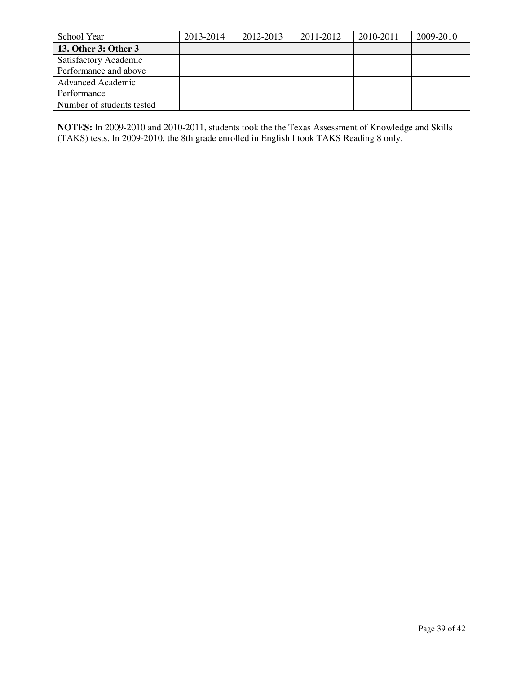| School Year               | 2013-2014 | 2012-2013 | 2011-2012 | 2010-2011 | 2009-2010 |
|---------------------------|-----------|-----------|-----------|-----------|-----------|
| 13. Other 3: Other 3      |           |           |           |           |           |
| Satisfactory Academic     |           |           |           |           |           |
| Performance and above     |           |           |           |           |           |
| <b>Advanced Academic</b>  |           |           |           |           |           |
| Performance               |           |           |           |           |           |
| Number of students tested |           |           |           |           |           |

**NOTES:** In 2009-2010 and 2010-2011, students took the the Texas Assessment of Knowledge and Skills (TAKS) tests. In 2009-2010, the 8th grade enrolled in English I took TAKS Reading 8 only.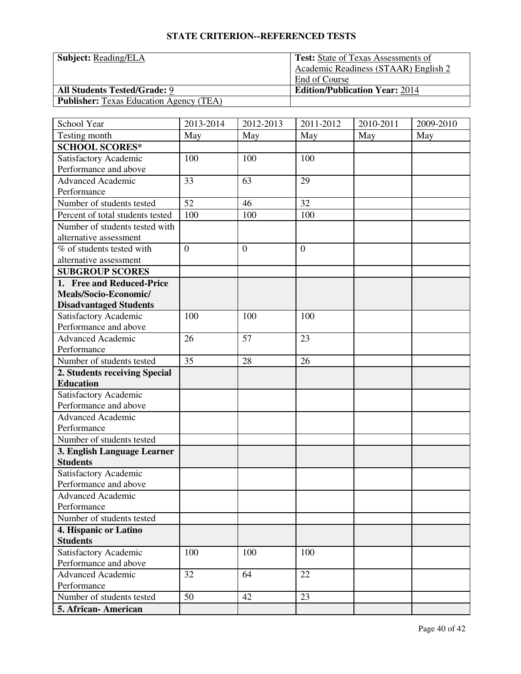**Subject: Reading/ELA** 

**All Students Tested/Grade: 9** 

**Publisher:** Texas Education Agency (TEA)

| Test: State of Texas Assessments of   |
|---------------------------------------|
| Academic Readiness (STAAR) English 2  |
| End of Course                         |
| <b>Edition/Publication Year: 2014</b> |
|                                       |

| School Year                              | 2013-2014      | 2012-2013      | 2011-2012      | 2010-2011 | 2009-2010 |
|------------------------------------------|----------------|----------------|----------------|-----------|-----------|
| Testing month                            | May            | May            | May            | May       | May       |
| <b>SCHOOL SCORES*</b>                    |                |                |                |           |           |
| Satisfactory Academic                    | 100            | 100            | 100            |           |           |
| Performance and above                    |                |                |                |           |           |
| <b>Advanced Academic</b>                 | 33             | 63             | 29             |           |           |
| Performance                              |                |                |                |           |           |
| Number of students tested                | 52             | 46             | 32             |           |           |
| Percent of total students tested         | 100            | 100            | 100            |           |           |
| Number of students tested with           |                |                |                |           |           |
| alternative assessment                   |                |                |                |           |           |
| % of students tested with                | $\overline{0}$ | $\overline{0}$ | $\overline{0}$ |           |           |
| alternative assessment                   |                |                |                |           |           |
| <b>SUBGROUP SCORES</b>                   |                |                |                |           |           |
| 1. Free and Reduced-Price                |                |                |                |           |           |
| Meals/Socio-Economic/                    |                |                |                |           |           |
| <b>Disadvantaged Students</b>            |                |                |                |           |           |
| Satisfactory Academic                    | 100            | 100            | 100            |           |           |
| Performance and above                    |                |                |                |           |           |
| <b>Advanced Academic</b>                 | 26             | 57             | 23             |           |           |
| Performance                              |                |                |                |           |           |
| Number of students tested                | 35             | 28             | 26             |           |           |
| 2. Students receiving Special            |                |                |                |           |           |
| <b>Education</b>                         |                |                |                |           |           |
| Satisfactory Academic                    |                |                |                |           |           |
| Performance and above                    |                |                |                |           |           |
| <b>Advanced Academic</b>                 |                |                |                |           |           |
| Performance                              |                |                |                |           |           |
| Number of students tested                |                |                |                |           |           |
| 3. English Language Learner              |                |                |                |           |           |
| <b>Students</b>                          |                |                |                |           |           |
| Satisfactory Academic                    |                |                |                |           |           |
| Performance and above                    |                |                |                |           |           |
| <b>Advanced Academic</b>                 |                |                |                |           |           |
| Performance                              |                |                |                |           |           |
| Number of students tested                |                |                |                |           |           |
| 4. Hispanic or Latino                    |                |                |                |           |           |
| <b>Students</b><br>Satisfactory Academic | 100            | 100            | 100            |           |           |
| Performance and above                    |                |                |                |           |           |
| <b>Advanced Academic</b>                 | 32             | 64             | 22             |           |           |
| Performance                              |                |                |                |           |           |
| Number of students tested                | 50             | 42             | 23             |           |           |
|                                          |                |                |                |           |           |
| 5. African- American                     |                |                |                |           |           |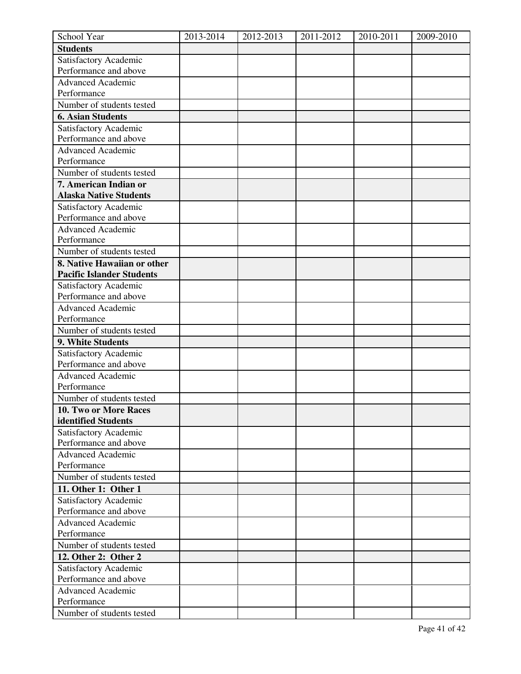| School Year                      | 2013-2014 | 2012-2013 | $2011 - 2012$ | 2010-2011 | 2009-2010 |
|----------------------------------|-----------|-----------|---------------|-----------|-----------|
| <b>Students</b>                  |           |           |               |           |           |
| Satisfactory Academic            |           |           |               |           |           |
| Performance and above            |           |           |               |           |           |
| <b>Advanced Academic</b>         |           |           |               |           |           |
| Performance                      |           |           |               |           |           |
| Number of students tested        |           |           |               |           |           |
| <b>6. Asian Students</b>         |           |           |               |           |           |
| Satisfactory Academic            |           |           |               |           |           |
| Performance and above            |           |           |               |           |           |
| <b>Advanced Academic</b>         |           |           |               |           |           |
| Performance                      |           |           |               |           |           |
| Number of students tested        |           |           |               |           |           |
| 7. American Indian or            |           |           |               |           |           |
| <b>Alaska Native Students</b>    |           |           |               |           |           |
| Satisfactory Academic            |           |           |               |           |           |
| Performance and above            |           |           |               |           |           |
| Advanced Academic                |           |           |               |           |           |
| Performance                      |           |           |               |           |           |
| Number of students tested        |           |           |               |           |           |
| 8. Native Hawaiian or other      |           |           |               |           |           |
| <b>Pacific Islander Students</b> |           |           |               |           |           |
| Satisfactory Academic            |           |           |               |           |           |
| Performance and above            |           |           |               |           |           |
| <b>Advanced Academic</b>         |           |           |               |           |           |
| Performance                      |           |           |               |           |           |
| Number of students tested        |           |           |               |           |           |
| 9. White Students                |           |           |               |           |           |
| Satisfactory Academic            |           |           |               |           |           |
| Performance and above            |           |           |               |           |           |
| <b>Advanced Academic</b>         |           |           |               |           |           |
| Performance                      |           |           |               |           |           |
| Number of students tested        |           |           |               |           |           |
| 10. Two or More Races            |           |           |               |           |           |
| identified Students              |           |           |               |           |           |
| Satisfactory Academic            |           |           |               |           |           |
| Performance and above            |           |           |               |           |           |
| <b>Advanced Academic</b>         |           |           |               |           |           |
| Performance                      |           |           |               |           |           |
| Number of students tested        |           |           |               |           |           |
| 11. Other 1: Other 1             |           |           |               |           |           |
| Satisfactory Academic            |           |           |               |           |           |
| Performance and above            |           |           |               |           |           |
| <b>Advanced Academic</b>         |           |           |               |           |           |
| Performance                      |           |           |               |           |           |
| Number of students tested        |           |           |               |           |           |
| 12. Other 2: Other 2             |           |           |               |           |           |
| Satisfactory Academic            |           |           |               |           |           |
| Performance and above            |           |           |               |           |           |
| <b>Advanced Academic</b>         |           |           |               |           |           |
| Performance                      |           |           |               |           |           |
| Number of students tested        |           |           |               |           |           |